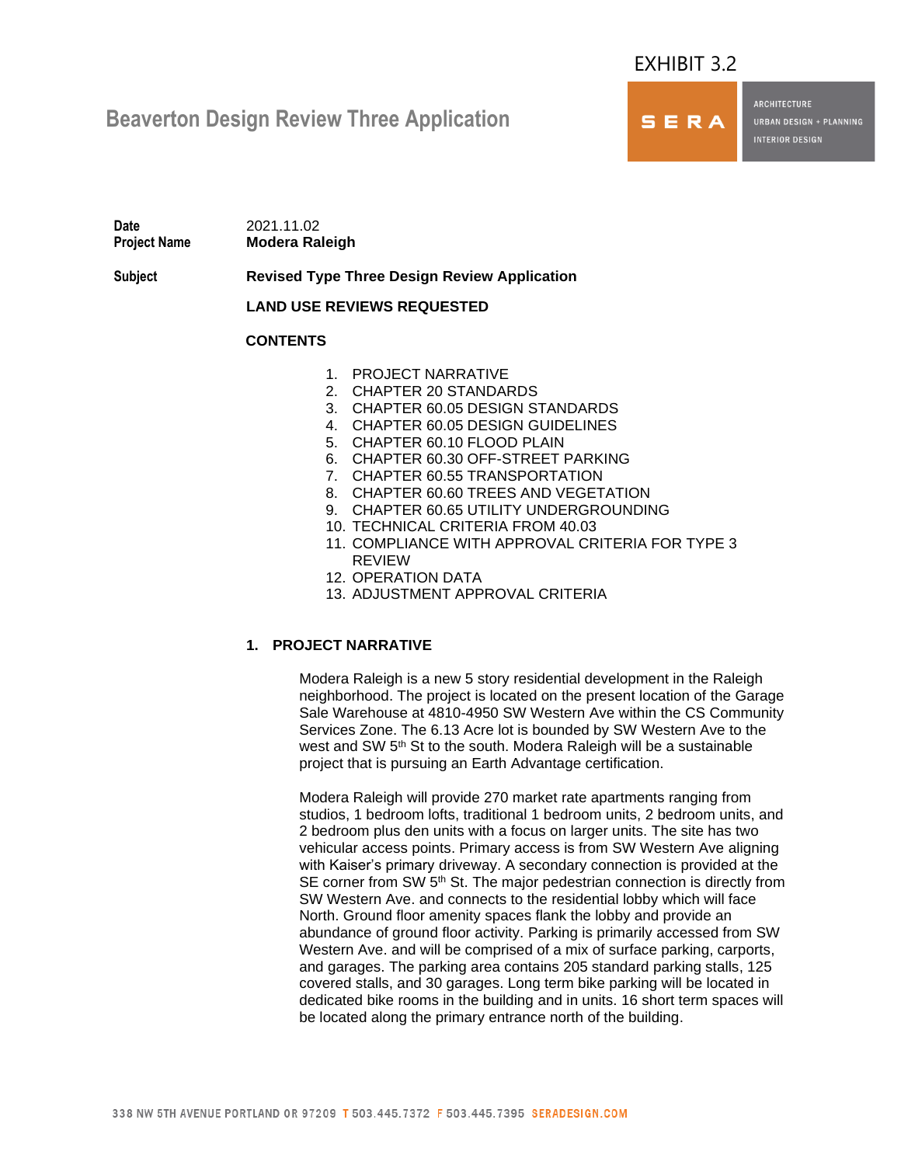# EXHIBIT 3.2

SERA

**ARCHITECTURE** 

**URBAN DESIGN + PLANNING INTERIOR DESIGN** 

# **Beaverton Design Review Three Application**

**Date** 2021.11.02 **Project Name Modera Raleigh**

**Subject Revised Type Three Design Review Application**

**LAND USE REVIEWS REQUESTED**

# **CONTENTS**

- 1. PROJECT NARRATIVE
- 2. CHAPTER 20 STANDARDS
- 3. CHAPTER 60.05 DESIGN STANDARDS
- 4. CHAPTER 60.05 DESIGN GUIDELINES
- 5. CHAPTER 60.10 FLOOD PLAIN
- 6. CHAPTER 60.30 OFF-STREET PARKING
- 7. CHAPTER 60.55 TRANSPORTATION
- 8. CHAPTER 60.60 TREES AND VEGETATION
- 9. CHAPTER 60.65 UTILITY UNDERGROUNDING
- 10. TECHNICAL CRITERIA FROM 40.03
- 11. COMPLIANCE WITH APPROVAL CRITERIA FOR TYPE 3 REVIEW
- 12. OPERATION DATA
- 13. ADJUSTMENT APPROVAL CRITERIA

# **1. PROJECT NARRATIVE**

Modera Raleigh is a new 5 story residential development in the Raleigh neighborhood. The project is located on the present location of the Garage Sale Warehouse at 4810-4950 SW Western Ave within the CS Community Services Zone. The 6.13 Acre lot is bounded by SW Western Ave to the west and SW 5<sup>th</sup> St to the south. Modera Raleigh will be a sustainable project that is pursuing an Earth Advantage certification.

Modera Raleigh will provide 270 market rate apartments ranging from studios, 1 bedroom lofts, traditional 1 bedroom units, 2 bedroom units, and 2 bedroom plus den units with a focus on larger units. The site has two vehicular access points. Primary access is from SW Western Ave aligning with Kaiser's primary driveway. A secondary connection is provided at the SE corner from SW 5<sup>th</sup> St. The major pedestrian connection is directly from SW Western Ave. and connects to the residential lobby which will face North. Ground floor amenity spaces flank the lobby and provide an abundance of ground floor activity. Parking is primarily accessed from SW Western Ave. and will be comprised of a mix of surface parking, carports, and garages. The parking area contains 205 standard parking stalls, 125 covered stalls, and 30 garages. Long term bike parking will be located in dedicated bike rooms in the building and in units. 16 short term spaces will be located along the primary entrance north of the building.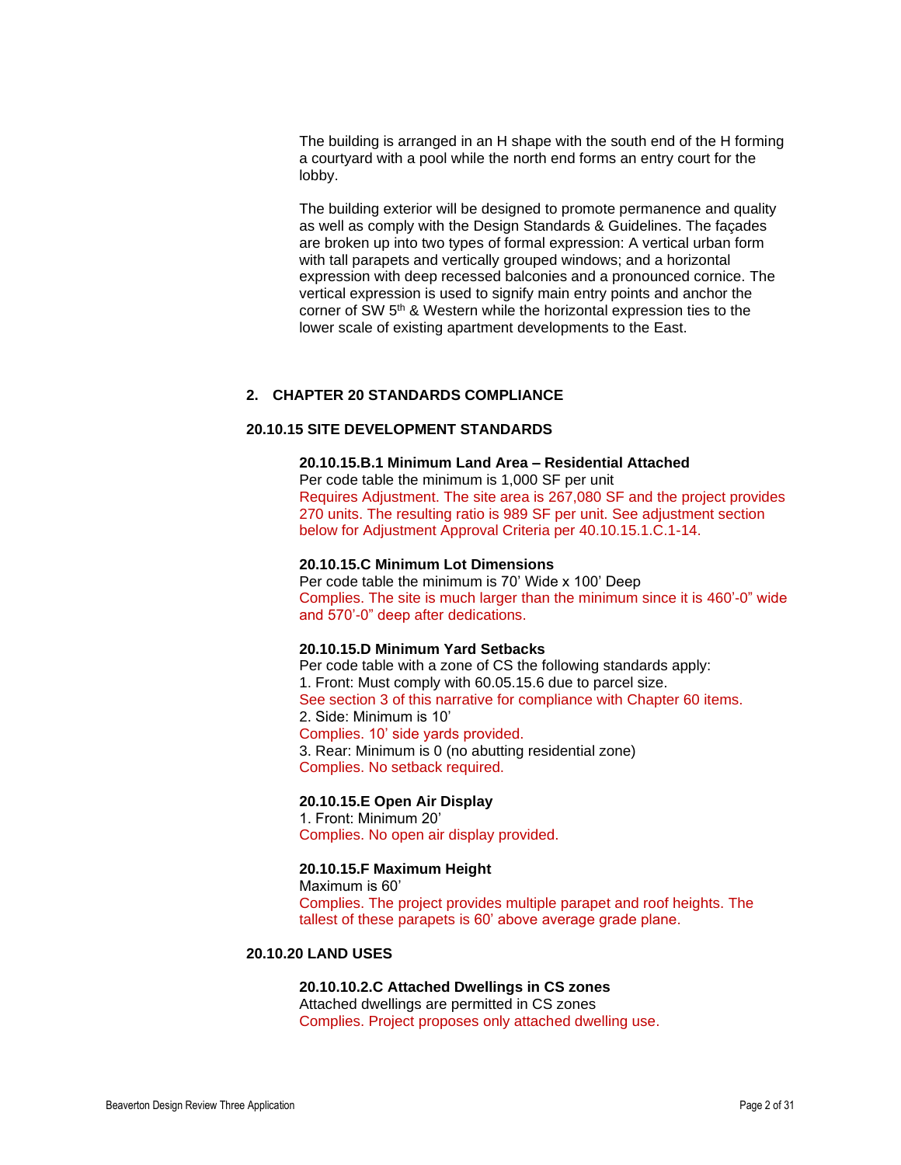The building is arranged in an H shape with the south end of the H forming a courtyard with a pool while the north end forms an entry court for the lobby.

The building exterior will be designed to promote permanence and quality as well as comply with the Design Standards & Guidelines. The façades are broken up into two types of formal expression: A vertical urban form with tall parapets and vertically grouped windows; and a horizontal expression with deep recessed balconies and a pronounced cornice. The vertical expression is used to signify main entry points and anchor the corner of SW 5<sup>th</sup> & Western while the horizontal expression ties to the lower scale of existing apartment developments to the East.

## **2. CHAPTER 20 STANDARDS COMPLIANCE**

## **20.10.15 SITE DEVELOPMENT STANDARDS**

#### **20.10.15.B.1 Minimum Land Area – Residential Attached**

Per code table the minimum is 1,000 SF per unit Requires Adjustment. The site area is 267,080 SF and the project provides 270 units. The resulting ratio is 989 SF per unit. See adjustment section below for Adjustment Approval Criteria per 40.10.15.1.C.1-14.

#### **20.10.15.C Minimum Lot Dimensions**

Per code table the minimum is 70' Wide x 100' Deep Complies. The site is much larger than the minimum since it is 460'-0" wide and 570'-0" deep after dedications.

#### **20.10.15.D Minimum Yard Setbacks**

Per code table with a zone of CS the following standards apply: 1. Front: Must comply with 60.05.15.6 due to parcel size. See section 3 of this narrative for compliance with Chapter 60 items. 2. Side: Minimum is 10' Complies. 10' side yards provided. 3. Rear: Minimum is 0 (no abutting residential zone) Complies. No setback required.

## **20.10.15.E Open Air Display**

1. Front: Minimum 20' Complies. No open air display provided.

#### **20.10.15.F Maximum Height**

Maximum is 60' Complies. The project provides multiple parapet and roof heights. The tallest of these parapets is 60' above average grade plane.

## **20.10.20 LAND USES**

# **20.10.10.2.C Attached Dwellings in CS zones**

Attached dwellings are permitted in CS zones Complies. Project proposes only attached dwelling use.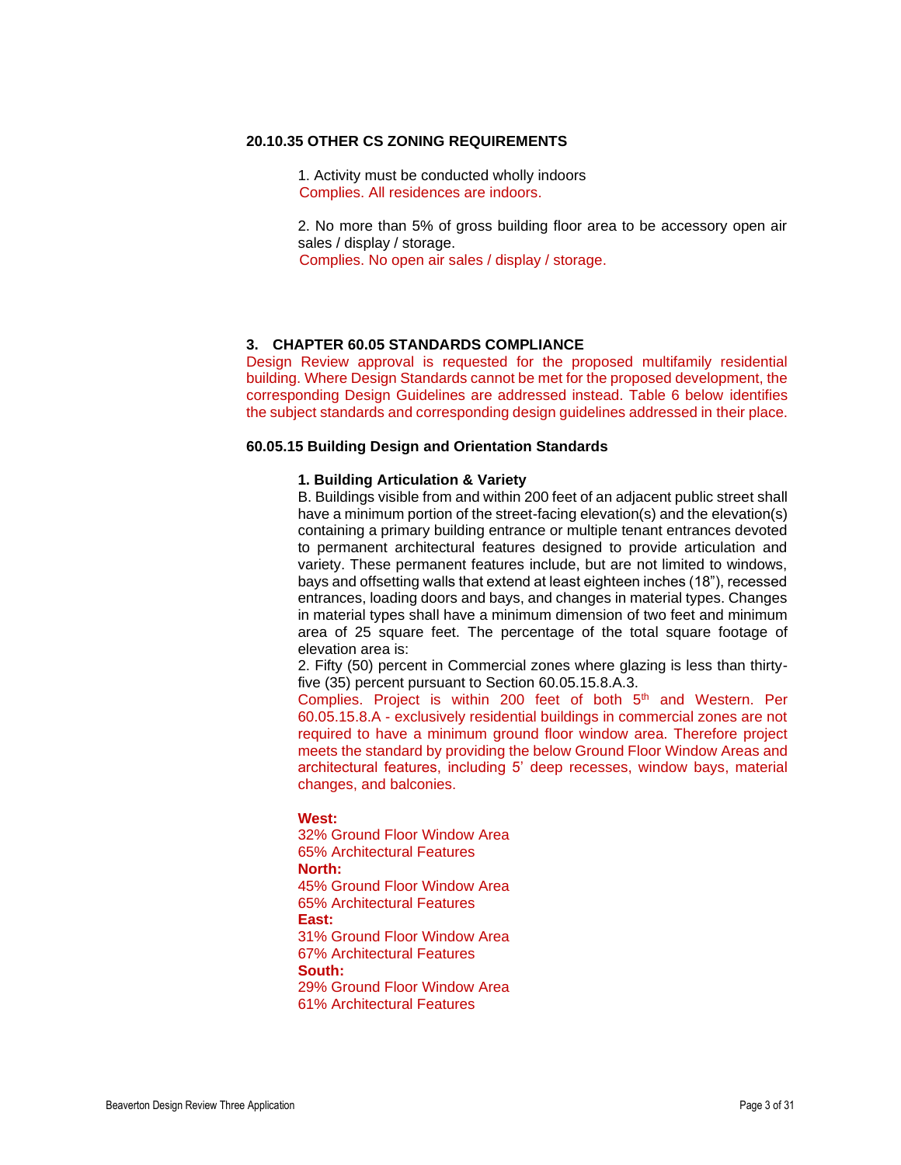#### **20.10.35 OTHER CS ZONING REQUIREMENTS**

1. Activity must be conducted wholly indoors Complies. All residences are indoors.

2. No more than 5% of gross building floor area to be accessory open air sales / display / storage.

Complies. No open air sales / display / storage.

#### **3. CHAPTER 60.05 STANDARDS COMPLIANCE**

Design Review approval is requested for the proposed multifamily residential building. Where Design Standards cannot be met for the proposed development, the corresponding Design Guidelines are addressed instead. Table 6 below identifies the subject standards and corresponding design guidelines addressed in their place.

## **60.05.15 Building Design and Orientation Standards**

#### **1. Building Articulation & Variety**

B. Buildings visible from and within 200 feet of an adjacent public street shall have a minimum portion of the street-facing elevation(s) and the elevation(s) containing a primary building entrance or multiple tenant entrances devoted to permanent architectural features designed to provide articulation and variety. These permanent features include, but are not limited to windows, bays and offsetting walls that extend at least eighteen inches (18"), recessed entrances, loading doors and bays, and changes in material types. Changes in material types shall have a minimum dimension of two feet and minimum area of 25 square feet. The percentage of the total square footage of elevation area is:

2. Fifty (50) percent in Commercial zones where glazing is less than thirtyfive (35) percent pursuant to Section 60.05.15.8.A.3.

Complies. Project is within 200 feet of both 5<sup>th</sup> and Western. Per 60.05.15.8.A - exclusively residential buildings in commercial zones are not required to have a minimum ground floor window area. Therefore project meets the standard by providing the below Ground Floor Window Areas and architectural features, including 5' deep recesses, window bays, material changes, and balconies.

#### **West:**

32% Ground Floor Window Area 65% Architectural Features **North:** 45% Ground Floor Window Area 65% Architectural Features **East:** 31% Ground Floor Window Area 67% Architectural Features **South:** 29% Ground Floor Window Area 61% Architectural Features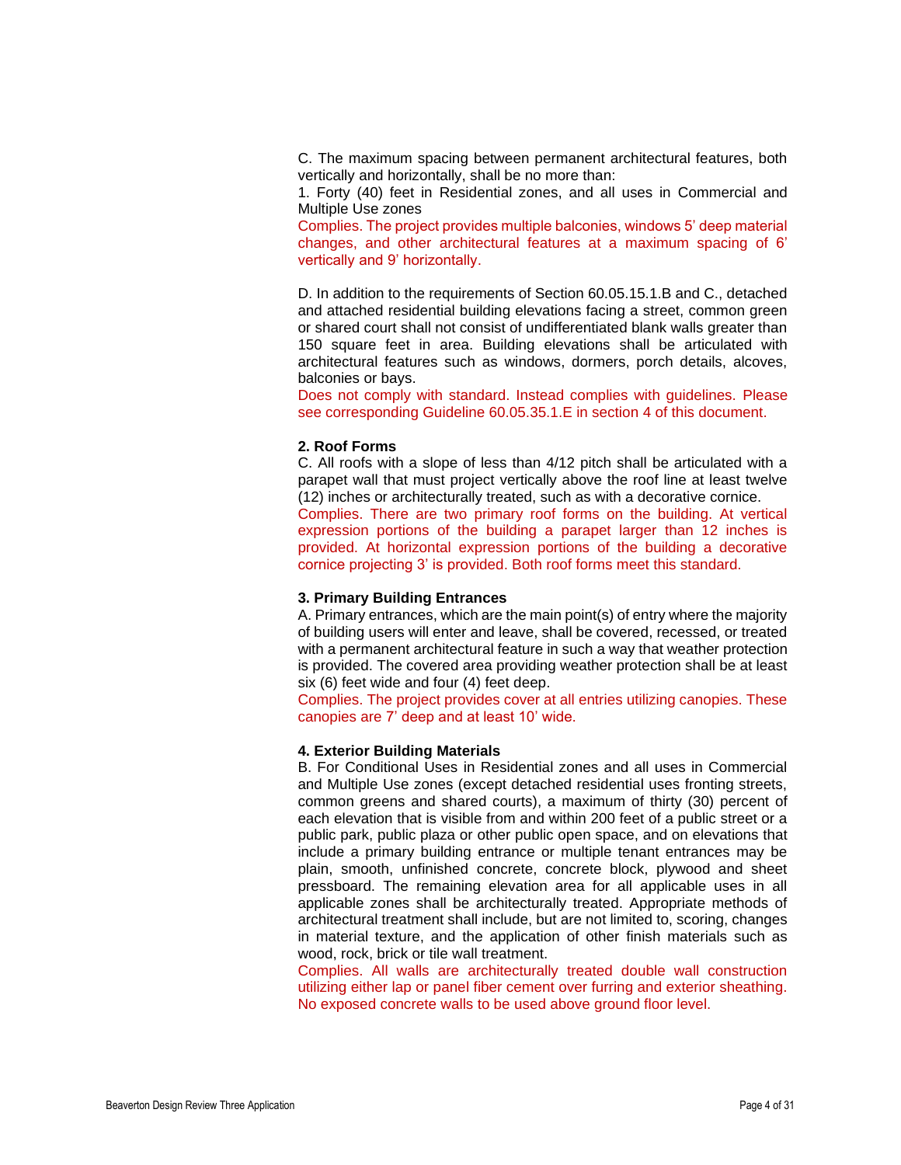C. The maximum spacing between permanent architectural features, both vertically and horizontally, shall be no more than:

1. Forty (40) feet in Residential zones, and all uses in Commercial and Multiple Use zones

Complies. The project provides multiple balconies, windows 5' deep material changes, and other architectural features at a maximum spacing of 6' vertically and 9' horizontally.

D. In addition to the requirements of Section 60.05.15.1.B and C., detached and attached residential building elevations facing a street, common green or shared court shall not consist of undifferentiated blank walls greater than 150 square feet in area. Building elevations shall be articulated with architectural features such as windows, dormers, porch details, alcoves, balconies or bays.

Does not comply with standard. Instead complies with guidelines. Please see corresponding Guideline 60.05.35.1.E in section 4 of this document.

#### **2. Roof Forms**

C. All roofs with a slope of less than 4/12 pitch shall be articulated with a parapet wall that must project vertically above the roof line at least twelve (12) inches or architecturally treated, such as with a decorative cornice.

Complies. There are two primary roof forms on the building. At vertical expression portions of the building a parapet larger than 12 inches is provided. At horizontal expression portions of the building a decorative cornice projecting 3' is provided. Both roof forms meet this standard.

## **3. Primary Building Entrances**

A. Primary entrances, which are the main point(s) of entry where the majority of building users will enter and leave, shall be covered, recessed, or treated with a permanent architectural feature in such a way that weather protection is provided. The covered area providing weather protection shall be at least six (6) feet wide and four (4) feet deep.

Complies. The project provides cover at all entries utilizing canopies. These canopies are 7' deep and at least 10' wide.

## **4. Exterior Building Materials**

B. For Conditional Uses in Residential zones and all uses in Commercial and Multiple Use zones (except detached residential uses fronting streets, common greens and shared courts), a maximum of thirty (30) percent of each elevation that is visible from and within 200 feet of a public street or a public park, public plaza or other public open space, and on elevations that include a primary building entrance or multiple tenant entrances may be plain, smooth, unfinished concrete, concrete block, plywood and sheet pressboard. The remaining elevation area for all applicable uses in all applicable zones shall be architecturally treated. Appropriate methods of architectural treatment shall include, but are not limited to, scoring, changes in material texture, and the application of other finish materials such as wood, rock, brick or tile wall treatment.

Complies. All walls are architecturally treated double wall construction utilizing either lap or panel fiber cement over furring and exterior sheathing. No exposed concrete walls to be used above ground floor level.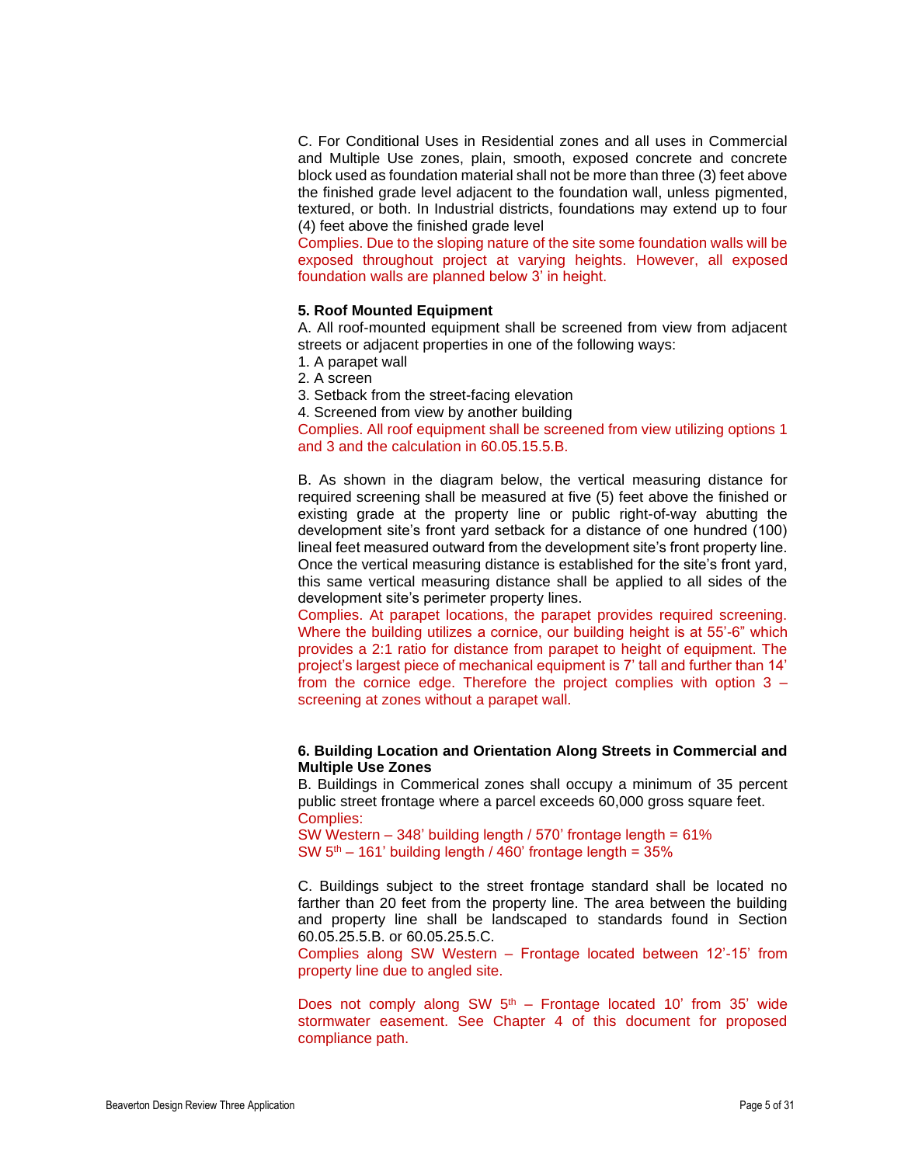C. For Conditional Uses in Residential zones and all uses in Commercial and Multiple Use zones, plain, smooth, exposed concrete and concrete block used as foundation material shall not be more than three (3) feet above the finished grade level adjacent to the foundation wall, unless pigmented, textured, or both. In Industrial districts, foundations may extend up to four (4) feet above the finished grade level

Complies. Due to the sloping nature of the site some foundation walls will be exposed throughout project at varying heights. However, all exposed foundation walls are planned below 3' in height.

#### **5. Roof Mounted Equipment**

A. All roof-mounted equipment shall be screened from view from adjacent streets or adjacent properties in one of the following ways:

1. A parapet wall

2. A screen

3. Setback from the street-facing elevation

4. Screened from view by another building

Complies. All roof equipment shall be screened from view utilizing options 1 and 3 and the calculation in 60.05.15.5.B.

B. As shown in the diagram below, the vertical measuring distance for required screening shall be measured at five (5) feet above the finished or existing grade at the property line or public right-of-way abutting the development site's front yard setback for a distance of one hundred (100) lineal feet measured outward from the development site's front property line. Once the vertical measuring distance is established for the site's front yard, this same vertical measuring distance shall be applied to all sides of the development site's perimeter property lines.

Complies. At parapet locations, the parapet provides required screening. Where the building utilizes a cornice, our building height is at 55'-6" which provides a 2:1 ratio for distance from parapet to height of equipment. The project's largest piece of mechanical equipment is 7' tall and further than 14' from the cornice edge. Therefore the project complies with option 3 – screening at zones without a parapet wall.

## **6. Building Location and Orientation Along Streets in Commercial and Multiple Use Zones**

B. Buildings in Commerical zones shall occupy a minimum of 35 percent public street frontage where a parcel exceeds 60,000 gross square feet. Complies:

SW Western – 348' building length / 570' frontage length = 61% SW  $5<sup>th</sup> - 161$ ' building length / 460' frontage length = 35%

C. Buildings subject to the street frontage standard shall be located no farther than 20 feet from the property line. The area between the building and property line shall be landscaped to standards found in Section 60.05.25.5.B. or 60.05.25.5.C.

Complies along SW Western – Frontage located between 12'-15' from property line due to angled site.

Does not comply along SW  $5<sup>th</sup>$  – Frontage located 10' from 35' wide stormwater easement. See Chapter 4 of this document for proposed compliance path.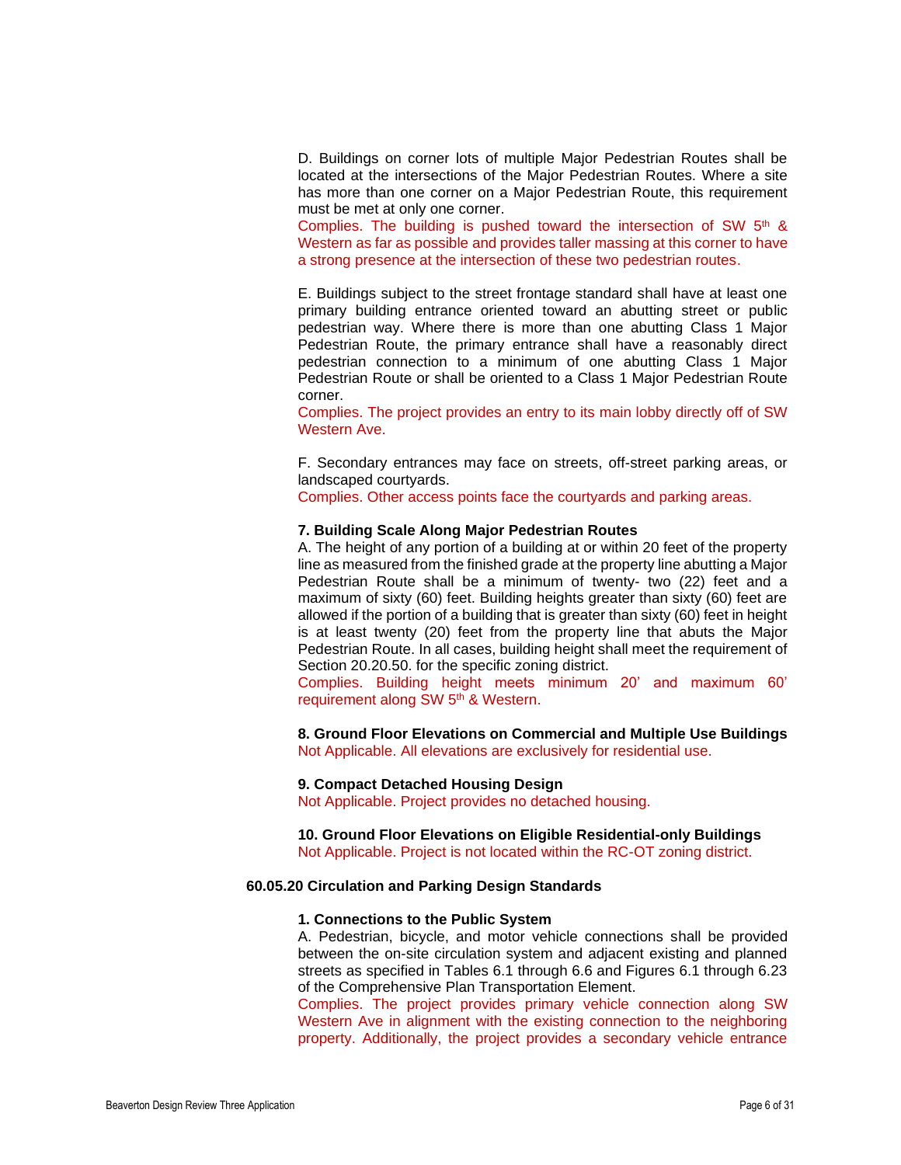D. Buildings on corner lots of multiple Major Pedestrian Routes shall be located at the intersections of the Major Pedestrian Routes. Where a site has more than one corner on a Major Pedestrian Route, this requirement must be met at only one corner.

Complies. The building is pushed toward the intersection of SW 5<sup>th</sup> & Western as far as possible and provides taller massing at this corner to have a strong presence at the intersection of these two pedestrian routes.

E. Buildings subject to the street frontage standard shall have at least one primary building entrance oriented toward an abutting street or public pedestrian way. Where there is more than one abutting Class 1 Major Pedestrian Route, the primary entrance shall have a reasonably direct pedestrian connection to a minimum of one abutting Class 1 Major Pedestrian Route or shall be oriented to a Class 1 Major Pedestrian Route corner.

Complies. The project provides an entry to its main lobby directly off of SW Western Ave.

F. Secondary entrances may face on streets, off-street parking areas, or landscaped courtyards.

Complies. Other access points face the courtyards and parking areas.

#### **7. Building Scale Along Major Pedestrian Routes**

A. The height of any portion of a building at or within 20 feet of the property line as measured from the finished grade at the property line abutting a Major Pedestrian Route shall be a minimum of twenty- two (22) feet and a maximum of sixty (60) feet. Building heights greater than sixty (60) feet are allowed if the portion of a building that is greater than sixty (60) feet in height is at least twenty (20) feet from the property line that abuts the Major Pedestrian Route. In all cases, building height shall meet the requirement of Section 20.20.50. for the specific zoning district.

Complies. Building height meets minimum 20' and maximum 60' requirement along SW 5<sup>th</sup> & Western.

**8. Ground Floor Elevations on Commercial and Multiple Use Buildings** Not Applicable. All elevations are exclusively for residential use.

#### **9. Compact Detached Housing Design**

Not Applicable. Project provides no detached housing.

**10. Ground Floor Elevations on Eligible Residential-only Buildings** Not Applicable. Project is not located within the RC-OT zoning district.

#### **60.05.20 Circulation and Parking Design Standards**

#### **1. Connections to the Public System**

A. Pedestrian, bicycle, and motor vehicle connections shall be provided between the on-site circulation system and adjacent existing and planned streets as specified in Tables 6.1 through 6.6 and Figures 6.1 through 6.23 of the Comprehensive Plan Transportation Element.

Complies. The project provides primary vehicle connection along SW Western Ave in alignment with the existing connection to the neighboring property. Additionally, the project provides a secondary vehicle entrance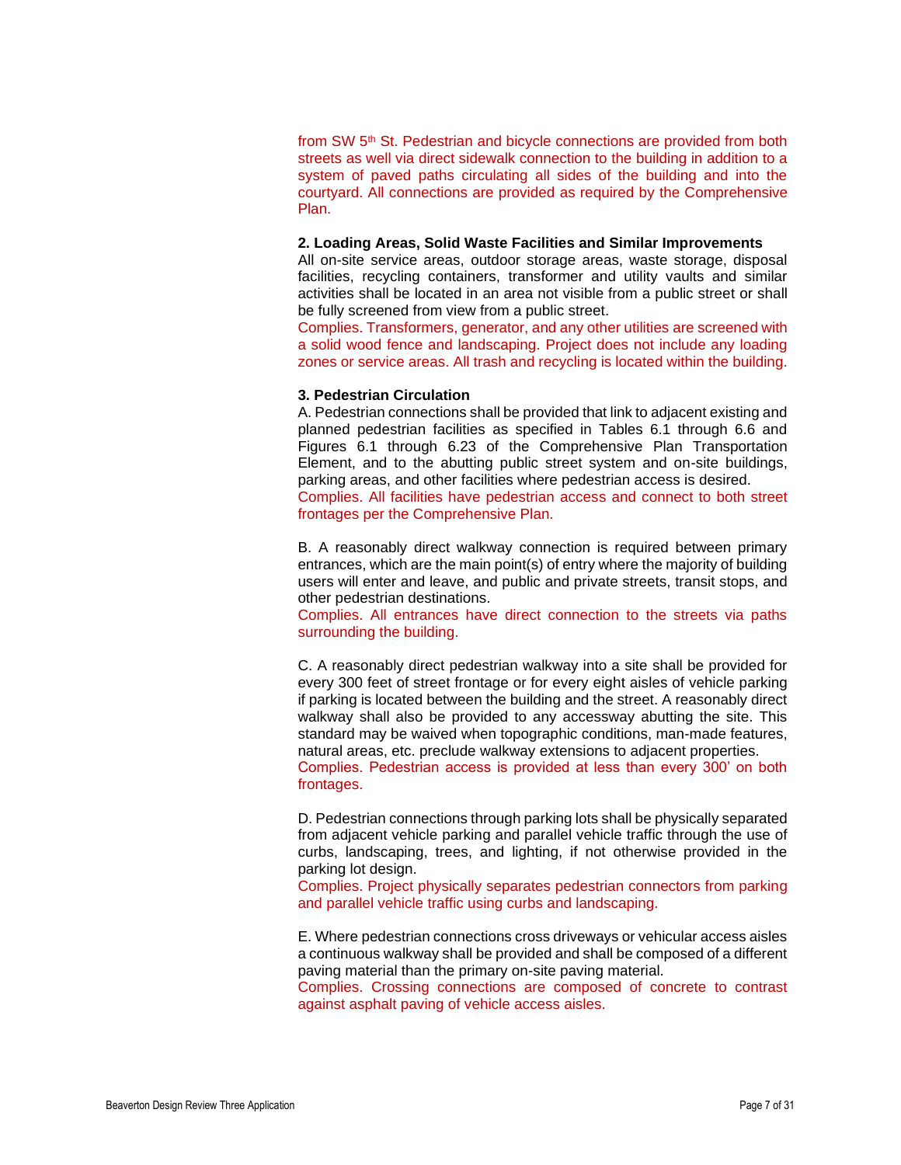from SW 5<sup>th</sup> St. Pedestrian and bicycle connections are provided from both streets as well via direct sidewalk connection to the building in addition to a system of paved paths circulating all sides of the building and into the courtyard. All connections are provided as required by the Comprehensive Plan.

#### **2. Loading Areas, Solid Waste Facilities and Similar Improvements**

All on-site service areas, outdoor storage areas, waste storage, disposal facilities, recycling containers, transformer and utility vaults and similar activities shall be located in an area not visible from a public street or shall be fully screened from view from a public street.

Complies. Transformers, generator, and any other utilities are screened with a solid wood fence and landscaping. Project does not include any loading zones or service areas. All trash and recycling is located within the building.

#### **3. Pedestrian Circulation**

A. Pedestrian connections shall be provided that link to adjacent existing and planned pedestrian facilities as specified in Tables 6.1 through 6.6 and Figures 6.1 through 6.23 of the Comprehensive Plan Transportation Element, and to the abutting public street system and on-site buildings, parking areas, and other facilities where pedestrian access is desired. Complies. All facilities have pedestrian access and connect to both street frontages per the Comprehensive Plan.

B. A reasonably direct walkway connection is required between primary entrances, which are the main point(s) of entry where the majority of building users will enter and leave, and public and private streets, transit stops, and other pedestrian destinations.

Complies. All entrances have direct connection to the streets via paths surrounding the building.

C. A reasonably direct pedestrian walkway into a site shall be provided for every 300 feet of street frontage or for every eight aisles of vehicle parking if parking is located between the building and the street. A reasonably direct walkway shall also be provided to any accessway abutting the site. This standard may be waived when topographic conditions, man-made features, natural areas, etc. preclude walkway extensions to adjacent properties. Complies. Pedestrian access is provided at less than every 300' on both

frontages.

D. Pedestrian connections through parking lots shall be physically separated from adjacent vehicle parking and parallel vehicle traffic through the use of curbs, landscaping, trees, and lighting, if not otherwise provided in the parking lot design.

Complies. Project physically separates pedestrian connectors from parking and parallel vehicle traffic using curbs and landscaping.

E. Where pedestrian connections cross driveways or vehicular access aisles a continuous walkway shall be provided and shall be composed of a different paving material than the primary on-site paving material.

Complies. Crossing connections are composed of concrete to contrast against asphalt paving of vehicle access aisles.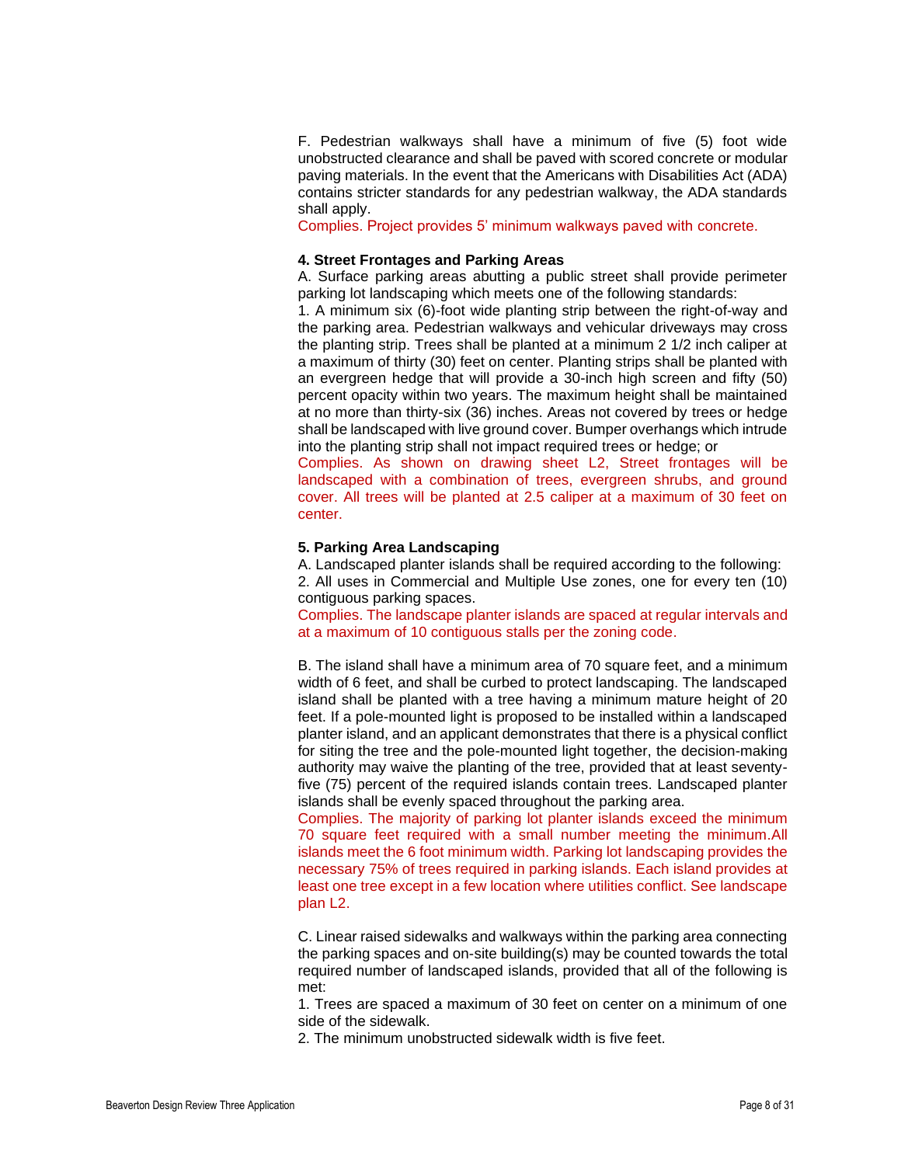F. Pedestrian walkways shall have a minimum of five (5) foot wide unobstructed clearance and shall be paved with scored concrete or modular paving materials. In the event that the Americans with Disabilities Act (ADA) contains stricter standards for any pedestrian walkway, the ADA standards shall apply.

Complies. Project provides 5' minimum walkways paved with concrete.

## **4. Street Frontages and Parking Areas**

A. Surface parking areas abutting a public street shall provide perimeter parking lot landscaping which meets one of the following standards:

1. A minimum six (6)-foot wide planting strip between the right-of-way and the parking area. Pedestrian walkways and vehicular driveways may cross the planting strip. Trees shall be planted at a minimum 2 1/2 inch caliper at a maximum of thirty (30) feet on center. Planting strips shall be planted with an evergreen hedge that will provide a 30-inch high screen and fifty (50) percent opacity within two years. The maximum height shall be maintained at no more than thirty-six (36) inches. Areas not covered by trees or hedge shall be landscaped with live ground cover. Bumper overhangs which intrude into the planting strip shall not impact required trees or hedge; or

Complies. As shown on drawing sheet L2, Street frontages will be landscaped with a combination of trees, evergreen shrubs, and ground cover. All trees will be planted at 2.5 caliper at a maximum of 30 feet on center.

#### **5. Parking Area Landscaping**

A. Landscaped planter islands shall be required according to the following:

2. All uses in Commercial and Multiple Use zones, one for every ten (10) contiguous parking spaces.

Complies. The landscape planter islands are spaced at regular intervals and at a maximum of 10 contiguous stalls per the zoning code.

B. The island shall have a minimum area of 70 square feet, and a minimum width of 6 feet, and shall be curbed to protect landscaping. The landscaped island shall be planted with a tree having a minimum mature height of 20 feet. If a pole-mounted light is proposed to be installed within a landscaped planter island, and an applicant demonstrates that there is a physical conflict for siting the tree and the pole-mounted light together, the decision-making authority may waive the planting of the tree, provided that at least seventyfive (75) percent of the required islands contain trees. Landscaped planter islands shall be evenly spaced throughout the parking area.

Complies. The majority of parking lot planter islands exceed the minimum 70 square feet required with a small number meeting the minimum.All islands meet the 6 foot minimum width. Parking lot landscaping provides the necessary 75% of trees required in parking islands. Each island provides at least one tree except in a few location where utilities conflict. See landscape plan L2.

C. Linear raised sidewalks and walkways within the parking area connecting the parking spaces and on-site building(s) may be counted towards the total required number of landscaped islands, provided that all of the following is met:

1. Trees are spaced a maximum of 30 feet on center on a minimum of one side of the sidewalk.

2. The minimum unobstructed sidewalk width is five feet.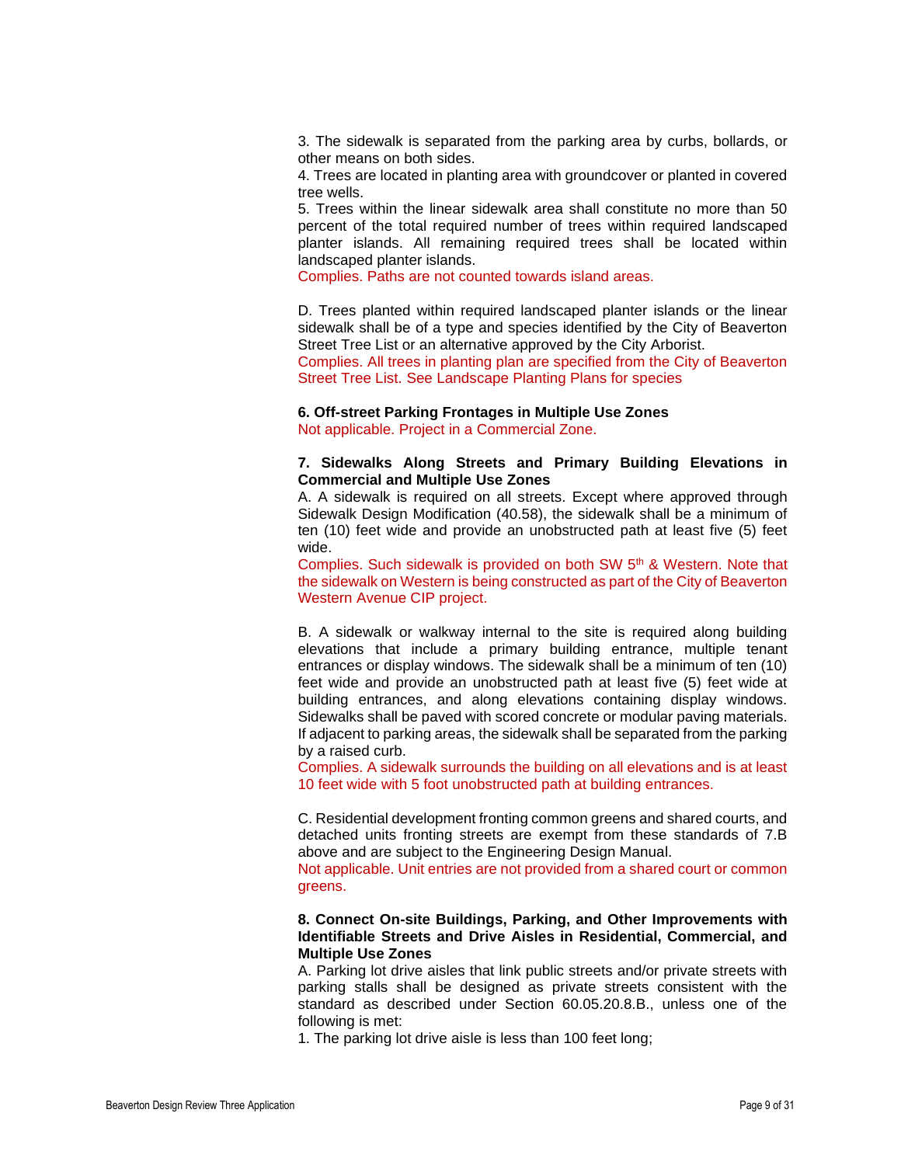3. The sidewalk is separated from the parking area by curbs, bollards, or other means on both sides.

4. Trees are located in planting area with groundcover or planted in covered tree wells.

5. Trees within the linear sidewalk area shall constitute no more than 50 percent of the total required number of trees within required landscaped planter islands. All remaining required trees shall be located within landscaped planter islands.

Complies. Paths are not counted towards island areas.

D. Trees planted within required landscaped planter islands or the linear sidewalk shall be of a type and species identified by the City of Beaverton Street Tree List or an alternative approved by the City Arborist.

Complies. All trees in planting plan are specified from the City of Beaverton Street Tree List. See Landscape Planting Plans for species

# **6. Off-street Parking Frontages in Multiple Use Zones**

Not applicable. Project in a Commercial Zone.

## **7. Sidewalks Along Streets and Primary Building Elevations in Commercial and Multiple Use Zones**

A. A sidewalk is required on all streets. Except where approved through Sidewalk Design Modification (40.58), the sidewalk shall be a minimum of ten (10) feet wide and provide an unobstructed path at least five (5) feet wide.

Complies. Such sidewalk is provided on both SW 5<sup>th</sup> & Western. Note that the sidewalk on Western is being constructed as part of the City of Beaverton Western Avenue CIP project.

B. A sidewalk or walkway internal to the site is required along building elevations that include a primary building entrance, multiple tenant entrances or display windows. The sidewalk shall be a minimum of ten (10) feet wide and provide an unobstructed path at least five (5) feet wide at building entrances, and along elevations containing display windows. Sidewalks shall be paved with scored concrete or modular paving materials. If adjacent to parking areas, the sidewalk shall be separated from the parking by a raised curb.

Complies. A sidewalk surrounds the building on all elevations and is at least 10 feet wide with 5 foot unobstructed path at building entrances.

C. Residential development fronting common greens and shared courts, and detached units fronting streets are exempt from these standards of 7.B above and are subject to the Engineering Design Manual.

Not applicable. Unit entries are not provided from a shared court or common greens.

## **8. Connect On-site Buildings, Parking, and Other Improvements with Identifiable Streets and Drive Aisles in Residential, Commercial, and Multiple Use Zones**

A. Parking lot drive aisles that link public streets and/or private streets with parking stalls shall be designed as private streets consistent with the standard as described under Section 60.05.20.8.B., unless one of the following is met:

1. The parking lot drive aisle is less than 100 feet long;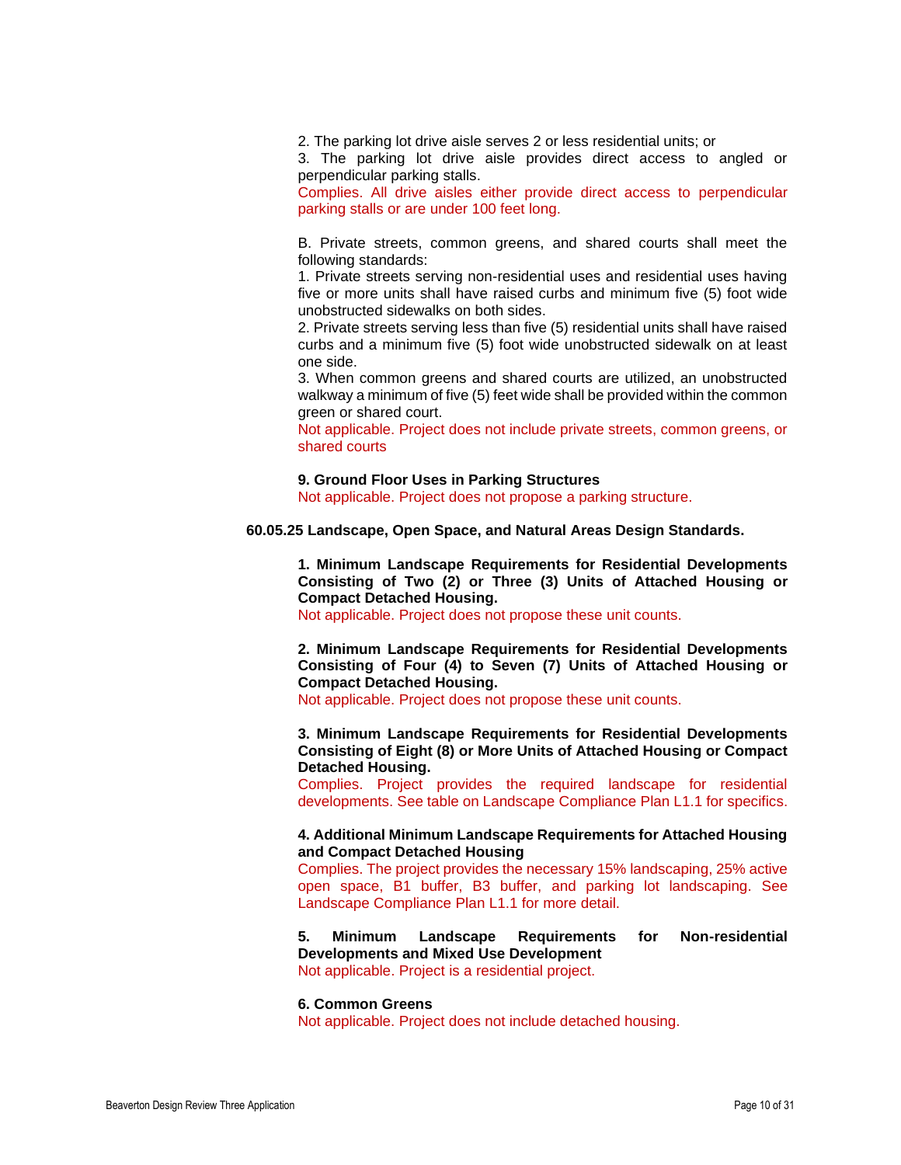2. The parking lot drive aisle serves 2 or less residential units; or

3. The parking lot drive aisle provides direct access to angled or perpendicular parking stalls.

Complies. All drive aisles either provide direct access to perpendicular parking stalls or are under 100 feet long.

B. Private streets, common greens, and shared courts shall meet the following standards:

1. Private streets serving non-residential uses and residential uses having five or more units shall have raised curbs and minimum five (5) foot wide unobstructed sidewalks on both sides.

2. Private streets serving less than five (5) residential units shall have raised curbs and a minimum five (5) foot wide unobstructed sidewalk on at least one side.

3. When common greens and shared courts are utilized, an unobstructed walkway a minimum of five (5) feet wide shall be provided within the common green or shared court.

Not applicable. Project does not include private streets, common greens, or shared courts

#### **9. Ground Floor Uses in Parking Structures**

Not applicable. Project does not propose a parking structure.

**60.05.25 Landscape, Open Space, and Natural Areas Design Standards.**

**1. Minimum Landscape Requirements for Residential Developments Consisting of Two (2) or Three (3) Units of Attached Housing or Compact Detached Housing.**

Not applicable. Project does not propose these unit counts.

**2. Minimum Landscape Requirements for Residential Developments Consisting of Four (4) to Seven (7) Units of Attached Housing or Compact Detached Housing.**

Not applicable. Project does not propose these unit counts.

**3. Minimum Landscape Requirements for Residential Developments Consisting of Eight (8) or More Units of Attached Housing or Compact Detached Housing.**

Complies. Project provides the required landscape for residential developments. See table on Landscape Compliance Plan L1.1 for specifics.

## **4. Additional Minimum Landscape Requirements for Attached Housing and Compact Detached Housing**

Complies. The project provides the necessary 15% landscaping, 25% active open space, B1 buffer, B3 buffer, and parking lot landscaping. See Landscape Compliance Plan L1.1 for more detail.

**5. Minimum Landscape Requirements for Non-residential Developments and Mixed Use Development** Not applicable. Project is a residential project.

#### **6. Common Greens**

Not applicable. Project does not include detached housing.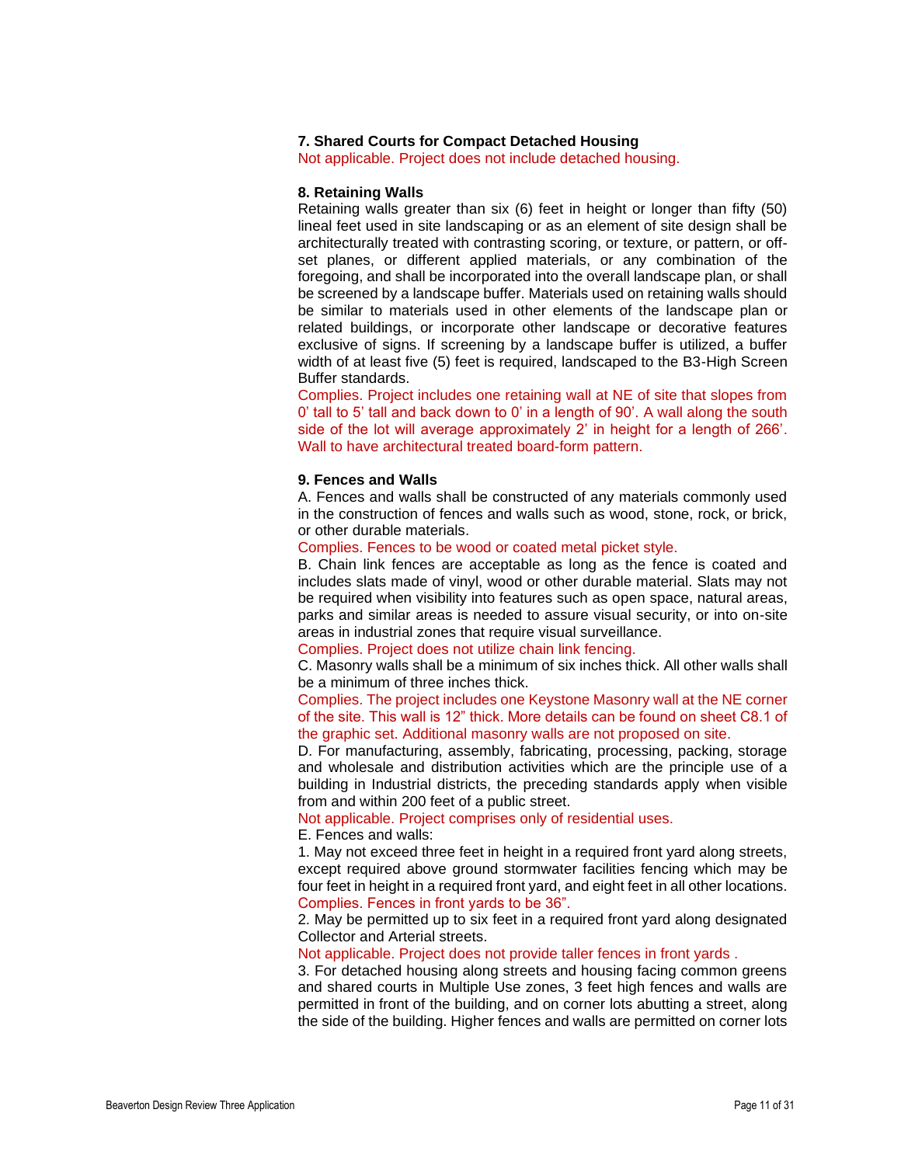## **7. Shared Courts for Compact Detached Housing**

Not applicable. Project does not include detached housing.

## **8. Retaining Walls**

Retaining walls greater than six (6) feet in height or longer than fifty (50) lineal feet used in site landscaping or as an element of site design shall be architecturally treated with contrasting scoring, or texture, or pattern, or offset planes, or different applied materials, or any combination of the foregoing, and shall be incorporated into the overall landscape plan, or shall be screened by a landscape buffer. Materials used on retaining walls should be similar to materials used in other elements of the landscape plan or related buildings, or incorporate other landscape or decorative features exclusive of signs. If screening by a landscape buffer is utilized, a buffer width of at least five (5) feet is required, landscaped to the B3-High Screen Buffer standards.

Complies. Project includes one retaining wall at NE of site that slopes from 0' tall to 5' tall and back down to 0' in a length of 90'. A wall along the south side of the lot will average approximately 2' in height for a length of 266'. Wall to have architectural treated board-form pattern.

#### **9. Fences and Walls**

A. Fences and walls shall be constructed of any materials commonly used in the construction of fences and walls such as wood, stone, rock, or brick, or other durable materials.

Complies. Fences to be wood or coated metal picket style.

B. Chain link fences are acceptable as long as the fence is coated and includes slats made of vinyl, wood or other durable material. Slats may not be required when visibility into features such as open space, natural areas, parks and similar areas is needed to assure visual security, or into on-site areas in industrial zones that require visual surveillance.

Complies. Project does not utilize chain link fencing.

C. Masonry walls shall be a minimum of six inches thick. All other walls shall be a minimum of three inches thick.

Complies. The project includes one Keystone Masonry wall at the NE corner of the site. This wall is 12" thick. More details can be found on sheet C8.1 of the graphic set. Additional masonry walls are not proposed on site.

D. For manufacturing, assembly, fabricating, processing, packing, storage and wholesale and distribution activities which are the principle use of a building in Industrial districts, the preceding standards apply when visible from and within 200 feet of a public street.

Not applicable. Project comprises only of residential uses.

E. Fences and walls:

1. May not exceed three feet in height in a required front yard along streets, except required above ground stormwater facilities fencing which may be four feet in height in a required front yard, and eight feet in all other locations. Complies. Fences in front yards to be 36".

2. May be permitted up to six feet in a required front yard along designated Collector and Arterial streets.

Not applicable. Project does not provide taller fences in front yards .

3. For detached housing along streets and housing facing common greens and shared courts in Multiple Use zones, 3 feet high fences and walls are permitted in front of the building, and on corner lots abutting a street, along the side of the building. Higher fences and walls are permitted on corner lots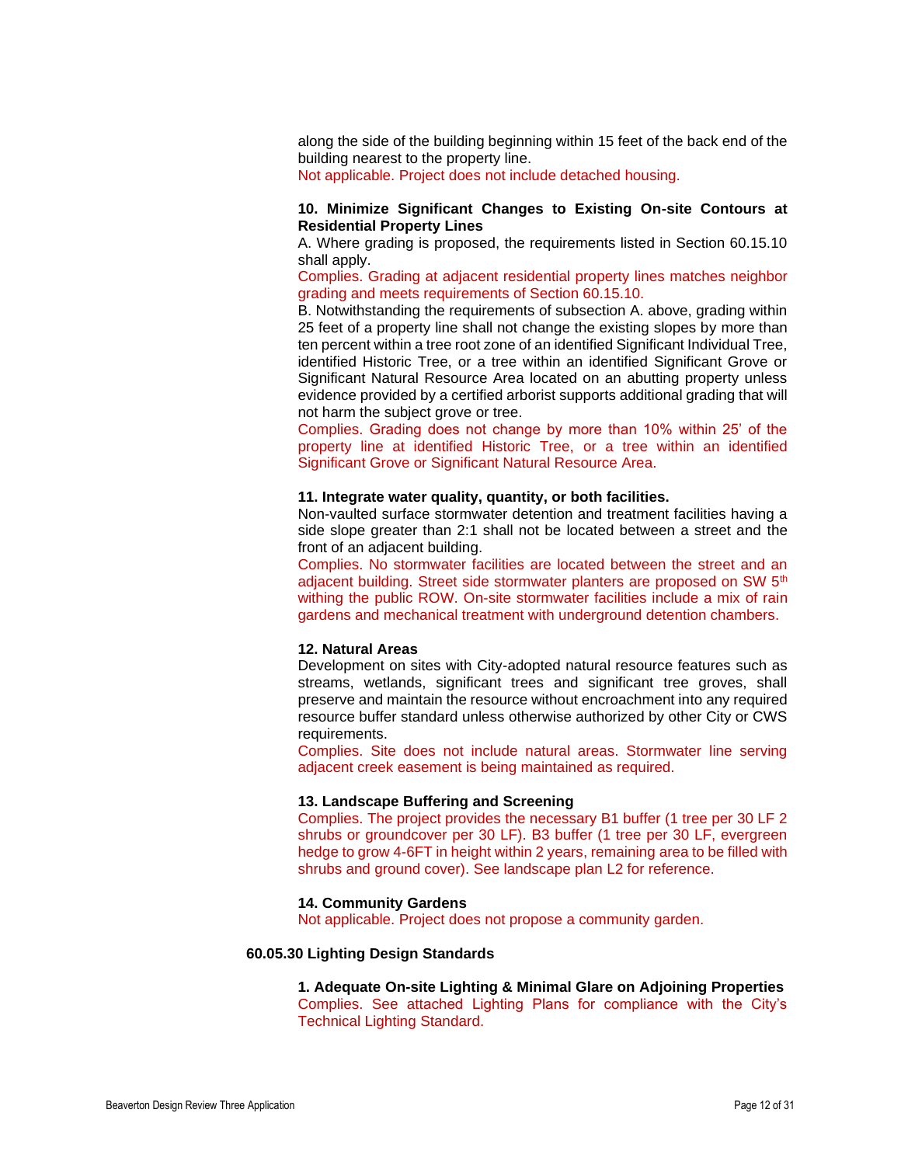along the side of the building beginning within 15 feet of the back end of the building nearest to the property line.

Not applicable. Project does not include detached housing.

## **10. Minimize Significant Changes to Existing On-site Contours at Residential Property Lines**

A. Where grading is proposed, the requirements listed in Section 60.15.10 shall apply.

Complies. Grading at adjacent residential property lines matches neighbor grading and meets requirements of Section 60.15.10.

B. Notwithstanding the requirements of subsection A. above, grading within 25 feet of a property line shall not change the existing slopes by more than ten percent within a tree root zone of an identified Significant Individual Tree, identified Historic Tree, or a tree within an identified Significant Grove or Significant Natural Resource Area located on an abutting property unless evidence provided by a certified arborist supports additional grading that will not harm the subject grove or tree.

Complies. Grading does not change by more than 10% within 25' of the property line at identified Historic Tree, or a tree within an identified Significant Grove or Significant Natural Resource Area.

#### **11. Integrate water quality, quantity, or both facilities.**

Non-vaulted surface stormwater detention and treatment facilities having a side slope greater than 2:1 shall not be located between a street and the front of an adjacent building.

Complies. No stormwater facilities are located between the street and an adjacent building. Street side stormwater planters are proposed on SW 5<sup>th</sup> withing the public ROW. On-site stormwater facilities include a mix of rain gardens and mechanical treatment with underground detention chambers.

## **12. Natural Areas**

Development on sites with City-adopted natural resource features such as streams, wetlands, significant trees and significant tree groves, shall preserve and maintain the resource without encroachment into any required resource buffer standard unless otherwise authorized by other City or CWS requirements.

Complies. Site does not include natural areas. Stormwater line serving adjacent creek easement is being maintained as required.

#### **13. Landscape Buffering and Screening**

Complies. The project provides the necessary B1 buffer (1 tree per 30 LF 2 shrubs or groundcover per 30 LF). B3 buffer (1 tree per 30 LF, evergreen hedge to grow 4-6FT in height within 2 years, remaining area to be filled with shrubs and ground cover). See landscape plan L2 for reference.

#### **14. Community Gardens**

Not applicable. Project does not propose a community garden.

## **60.05.30 Lighting Design Standards**

# **1. Adequate On-site Lighting & Minimal Glare on Adjoining Properties**

Complies. See attached Lighting Plans for compliance with the City's Technical Lighting Standard.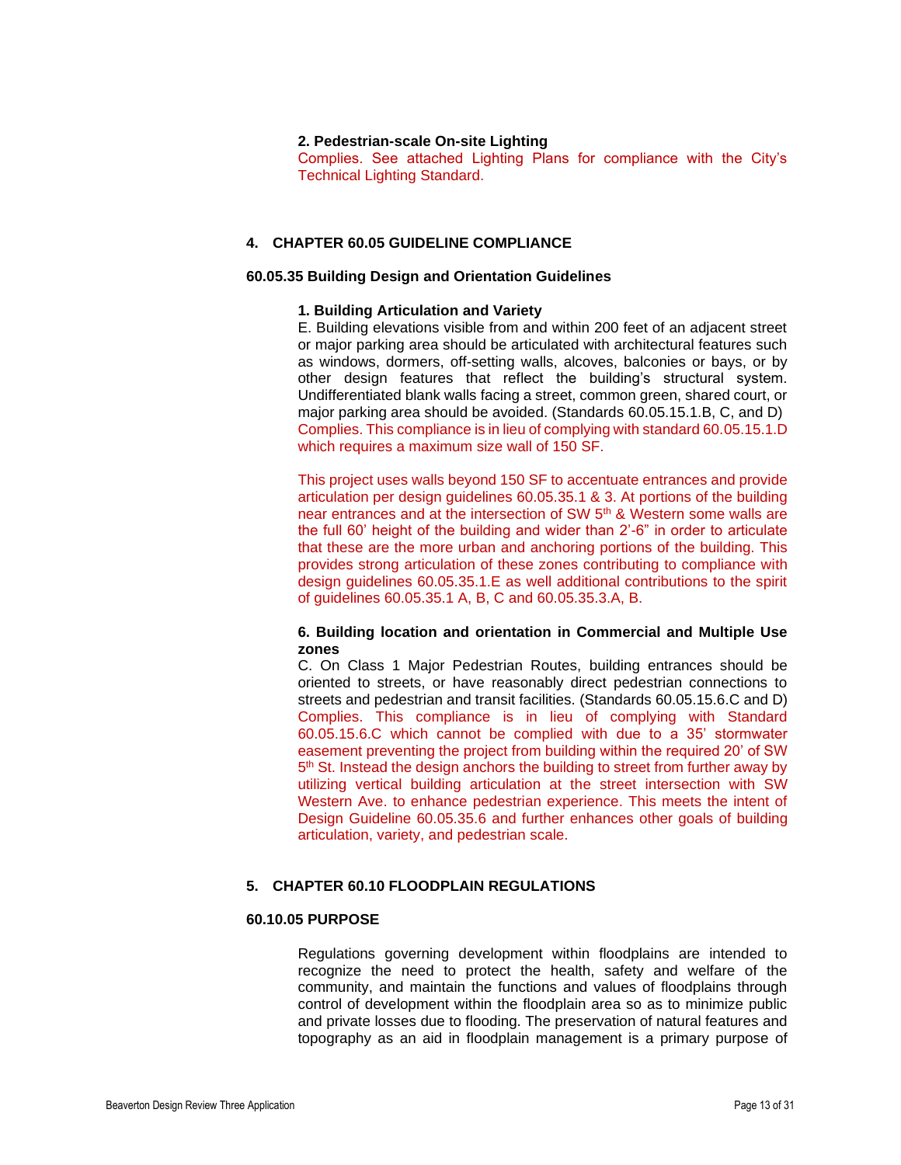#### **2. Pedestrian-scale On-site Lighting**

Complies. See attached Lighting Plans for compliance with the City's Technical Lighting Standard.

## **4. CHAPTER 60.05 GUIDELINE COMPLIANCE**

#### **60.05.35 Building Design and Orientation Guidelines**

#### **1. Building Articulation and Variety**

E. Building elevations visible from and within 200 feet of an adjacent street or major parking area should be articulated with architectural features such as windows, dormers, off-setting walls, alcoves, balconies or bays, or by other design features that reflect the building's structural system. Undifferentiated blank walls facing a street, common green, shared court, or major parking area should be avoided. (Standards 60.05.15.1.B, C, and D) Complies. This compliance is in lieu of complying with standard 60.05.15.1.D which requires a maximum size wall of 150 SF.

This project uses walls beyond 150 SF to accentuate entrances and provide articulation per design guidelines 60.05.35.1 & 3. At portions of the building near entrances and at the intersection of SW 5<sup>th</sup> & Western some walls are the full 60' height of the building and wider than 2'-6" in order to articulate that these are the more urban and anchoring portions of the building. This provides strong articulation of these zones contributing to compliance with design guidelines 60.05.35.1.E as well additional contributions to the spirit of guidelines 60.05.35.1 A, B, C and 60.05.35.3.A, B.

## **6. Building location and orientation in Commercial and Multiple Use zones**

C. On Class 1 Major Pedestrian Routes, building entrances should be oriented to streets, or have reasonably direct pedestrian connections to streets and pedestrian and transit facilities. (Standards 60.05.15.6.C and D) Complies. This compliance is in lieu of complying with Standard 60.05.15.6.C which cannot be complied with due to a 35' stormwater easement preventing the project from building within the required 20' of SW 5<sup>th</sup> St. Instead the design anchors the building to street from further away by utilizing vertical building articulation at the street intersection with SW Western Ave. to enhance pedestrian experience. This meets the intent of Design Guideline 60.05.35.6 and further enhances other goals of building articulation, variety, and pedestrian scale.

#### **5. CHAPTER 60.10 FLOODPLAIN REGULATIONS**

#### **60.10.05 PURPOSE**

Regulations governing development within floodplains are intended to recognize the need to protect the health, safety and welfare of the community, and maintain the functions and values of floodplains through control of development within the floodplain area so as to minimize public and private losses due to flooding. The preservation of natural features and topography as an aid in floodplain management is a primary purpose of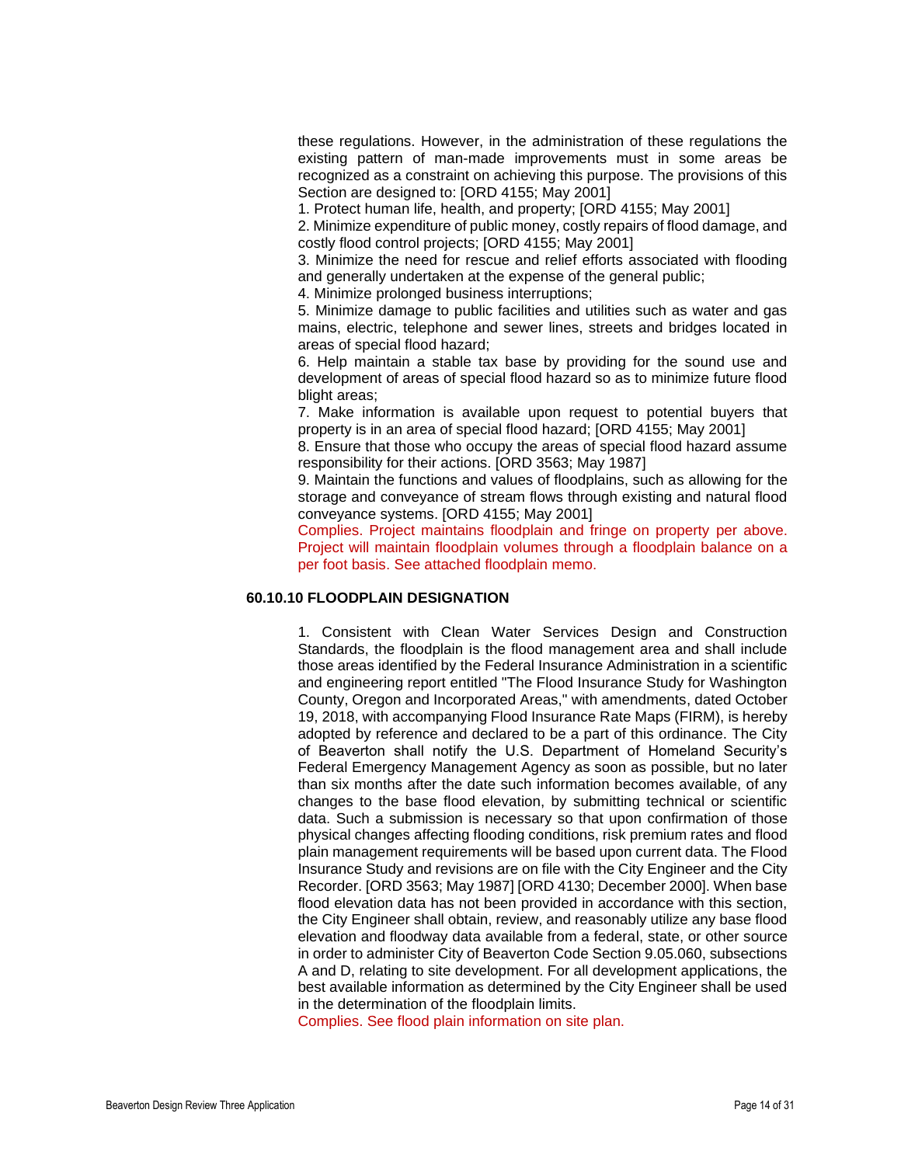these regulations. However, in the administration of these regulations the existing pattern of man-made improvements must in some areas be recognized as a constraint on achieving this purpose. The provisions of this Section are designed to: [ORD 4155; May 2001]

1. Protect human life, health, and property; [ORD 4155; May 2001]

2. Minimize expenditure of public money, costly repairs of flood damage, and costly flood control projects; [ORD 4155; May 2001]

3. Minimize the need for rescue and relief efforts associated with flooding and generally undertaken at the expense of the general public;

4. Minimize prolonged business interruptions;

5. Minimize damage to public facilities and utilities such as water and gas mains, electric, telephone and sewer lines, streets and bridges located in areas of special flood hazard;

6. Help maintain a stable tax base by providing for the sound use and development of areas of special flood hazard so as to minimize future flood blight areas:

7. Make information is available upon request to potential buyers that property is in an area of special flood hazard; [ORD 4155; May 2001]

8. Ensure that those who occupy the areas of special flood hazard assume responsibility for their actions. [ORD 3563; May 1987]

9. Maintain the functions and values of floodplains, such as allowing for the storage and conveyance of stream flows through existing and natural flood conveyance systems. [ORD 4155; May 2001]

Complies. Project maintains floodplain and fringe on property per above. Project will maintain floodplain volumes through a floodplain balance on a per foot basis. See attached floodplain memo.

## **60.10.10 FLOODPLAIN DESIGNATION**

1. Consistent with Clean Water Services Design and Construction Standards, the floodplain is the flood management area and shall include those areas identified by the Federal Insurance Administration in a scientific and engineering report entitled "The Flood Insurance Study for Washington County, Oregon and Incorporated Areas," with amendments, dated October 19, 2018, with accompanying Flood Insurance Rate Maps (FIRM), is hereby adopted by reference and declared to be a part of this ordinance. The City of Beaverton shall notify the U.S. Department of Homeland Security's Federal Emergency Management Agency as soon as possible, but no later than six months after the date such information becomes available, of any changes to the base flood elevation, by submitting technical or scientific data. Such a submission is necessary so that upon confirmation of those physical changes affecting flooding conditions, risk premium rates and flood plain management requirements will be based upon current data. The Flood Insurance Study and revisions are on file with the City Engineer and the City Recorder. [ORD 3563; May 1987] [ORD 4130; December 2000]. When base flood elevation data has not been provided in accordance with this section, the City Engineer shall obtain, review, and reasonably utilize any base flood elevation and floodway data available from a federal, state, or other source in order to administer City of Beaverton Code Section 9.05.060, subsections A and D, relating to site development. For all development applications, the best available information as determined by the City Engineer shall be used in the determination of the floodplain limits.

Complies. See flood plain information on site plan.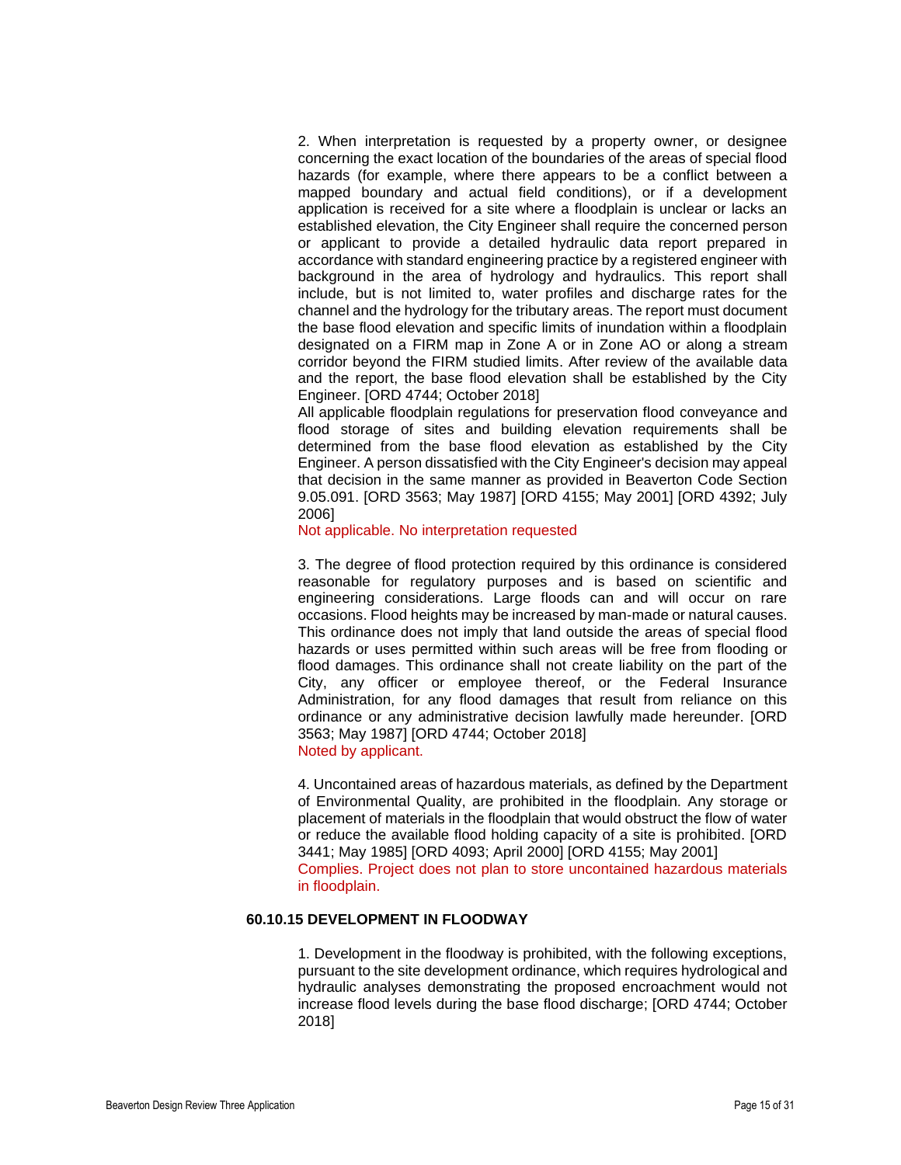2. When interpretation is requested by a property owner, or designee concerning the exact location of the boundaries of the areas of special flood hazards (for example, where there appears to be a conflict between a mapped boundary and actual field conditions), or if a development application is received for a site where a floodplain is unclear or lacks an established elevation, the City Engineer shall require the concerned person or applicant to provide a detailed hydraulic data report prepared in accordance with standard engineering practice by a registered engineer with background in the area of hydrology and hydraulics. This report shall include, but is not limited to, water profiles and discharge rates for the channel and the hydrology for the tributary areas. The report must document the base flood elevation and specific limits of inundation within a floodplain designated on a FIRM map in Zone A or in Zone AO or along a stream corridor beyond the FIRM studied limits. After review of the available data and the report, the base flood elevation shall be established by the City Engineer. [ORD 4744; October 2018]

All applicable floodplain regulations for preservation flood conveyance and flood storage of sites and building elevation requirements shall be determined from the base flood elevation as established by the City Engineer. A person dissatisfied with the City Engineer's decision may appeal that decision in the same manner as provided in Beaverton Code Section 9.05.091. [ORD 3563; May 1987] [ORD 4155; May 2001] [ORD 4392; July 2006]

Not applicable. No interpretation requested

3. The degree of flood protection required by this ordinance is considered reasonable for regulatory purposes and is based on scientific and engineering considerations. Large floods can and will occur on rare occasions. Flood heights may be increased by man-made or natural causes. This ordinance does not imply that land outside the areas of special flood hazards or uses permitted within such areas will be free from flooding or flood damages. This ordinance shall not create liability on the part of the City, any officer or employee thereof, or the Federal Insurance Administration, for any flood damages that result from reliance on this ordinance or any administrative decision lawfully made hereunder. [ORD 3563; May 1987] [ORD 4744; October 2018] Noted by applicant.

4. Uncontained areas of hazardous materials, as defined by the Department of Environmental Quality, are prohibited in the floodplain. Any storage or placement of materials in the floodplain that would obstruct the flow of water or reduce the available flood holding capacity of a site is prohibited. [ORD 3441; May 1985] [ORD 4093; April 2000] [ORD 4155; May 2001] Complies. Project does not plan to store uncontained hazardous materials in floodplain.

#### **60.10.15 DEVELOPMENT IN FLOODWAY**

1. Development in the floodway is prohibited, with the following exceptions, pursuant to the site development ordinance, which requires hydrological and hydraulic analyses demonstrating the proposed encroachment would not increase flood levels during the base flood discharge; [ORD 4744; October 2018]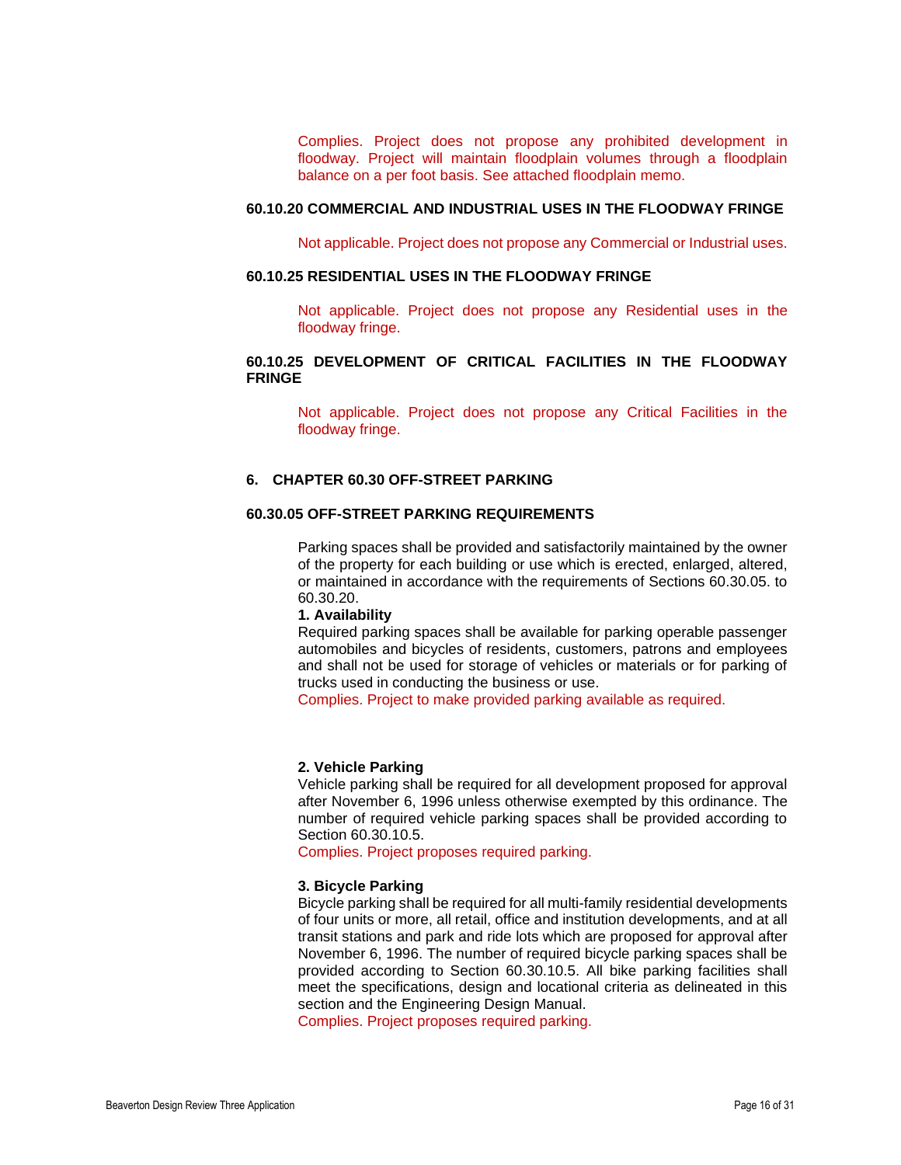Complies. Project does not propose any prohibited development in floodway. Project will maintain floodplain volumes through a floodplain balance on a per foot basis. See attached floodplain memo.

#### **60.10.20 COMMERCIAL AND INDUSTRIAL USES IN THE FLOODWAY FRINGE**

Not applicable. Project does not propose any Commercial or Industrial uses.

## **60.10.25 RESIDENTIAL USES IN THE FLOODWAY FRINGE**

Not applicable. Project does not propose any Residential uses in the floodway fringe.

## **60.10.25 DEVELOPMENT OF CRITICAL FACILITIES IN THE FLOODWAY FRINGE**

Not applicable. Project does not propose any Critical Facilities in the floodway fringe.

# **6. CHAPTER 60.30 OFF-STREET PARKING**

## **60.30.05 OFF-STREET PARKING REQUIREMENTS**

Parking spaces shall be provided and satisfactorily maintained by the owner of the property for each building or use which is erected, enlarged, altered, or maintained in accordance with the requirements of Sections 60.30.05. to 60.30.20.

#### **1. Availability**

Required parking spaces shall be available for parking operable passenger automobiles and bicycles of residents, customers, patrons and employees and shall not be used for storage of vehicles or materials or for parking of trucks used in conducting the business or use.

Complies. Project to make provided parking available as required.

#### **2. Vehicle Parking**

Vehicle parking shall be required for all development proposed for approval after November 6, 1996 unless otherwise exempted by this ordinance. The number of required vehicle parking spaces shall be provided according to Section 60.30.10.5.

Complies. Project proposes required parking.

## **3. Bicycle Parking**

Bicycle parking shall be required for all multi-family residential developments of four units or more, all retail, office and institution developments, and at all transit stations and park and ride lots which are proposed for approval after November 6, 1996. The number of required bicycle parking spaces shall be provided according to Section 60.30.10.5. All bike parking facilities shall meet the specifications, design and locational criteria as delineated in this section and the Engineering Design Manual.

Complies. Project proposes required parking.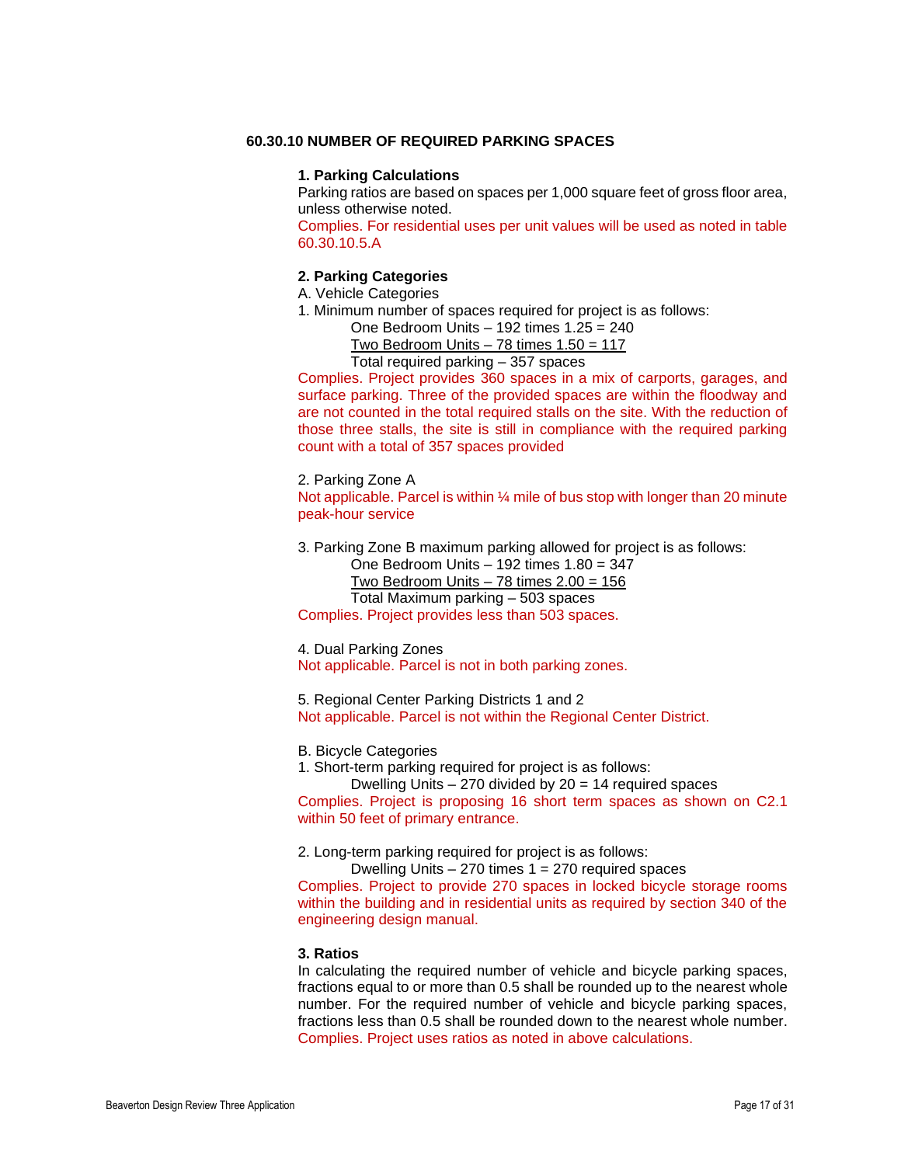#### **60.30.10 NUMBER OF REQUIRED PARKING SPACES**

#### **1. Parking Calculations**

Parking ratios are based on spaces per 1,000 square feet of gross floor area, unless otherwise noted.

Complies. For residential uses per unit values will be used as noted in table 60.30.10.5.A

#### **2. Parking Categories**

A. Vehicle Categories

1. Minimum number of spaces required for project is as follows:

One Bedroom Units – 192 times 1.25 = 240

Two Bedroom Units  $-78$  times  $1.50 = 117$ 

Total required parking – 357 spaces

Complies. Project provides 360 spaces in a mix of carports, garages, and surface parking. Three of the provided spaces are within the floodway and are not counted in the total required stalls on the site. With the reduction of those three stalls, the site is still in compliance with the required parking count with a total of 357 spaces provided

2. Parking Zone A

Not applicable. Parcel is within 1/4 mile of bus stop with longer than 20 minute peak-hour service

3. Parking Zone B maximum parking allowed for project is as follows:

One Bedroom Units – 192 times 1.80 = 347 Two Bedroom Units  $-78$  times  $2.00 = 156$ Total Maximum parking – 503 spaces

Complies. Project provides less than 503 spaces.

#### 4. Dual Parking Zones

Not applicable. Parcel is not in both parking zones.

5. Regional Center Parking Districts 1 and 2 Not applicable. Parcel is not within the Regional Center District.

B. Bicycle Categories

1. Short-term parking required for project is as follows:

Dwelling Units  $-270$  divided by  $20 = 14$  required spaces Complies. Project is proposing 16 short term spaces as shown on C2.1 within 50 feet of primary entrance.

2. Long-term parking required for project is as follows:

Dwelling Units – 270 times 1 = 270 required spaces

Complies. Project to provide 270 spaces in locked bicycle storage rooms within the building and in residential units as required by section 340 of the engineering design manual.

## **3. Ratios**

In calculating the required number of vehicle and bicycle parking spaces, fractions equal to or more than 0.5 shall be rounded up to the nearest whole number. For the required number of vehicle and bicycle parking spaces, fractions less than 0.5 shall be rounded down to the nearest whole number. Complies. Project uses ratios as noted in above calculations.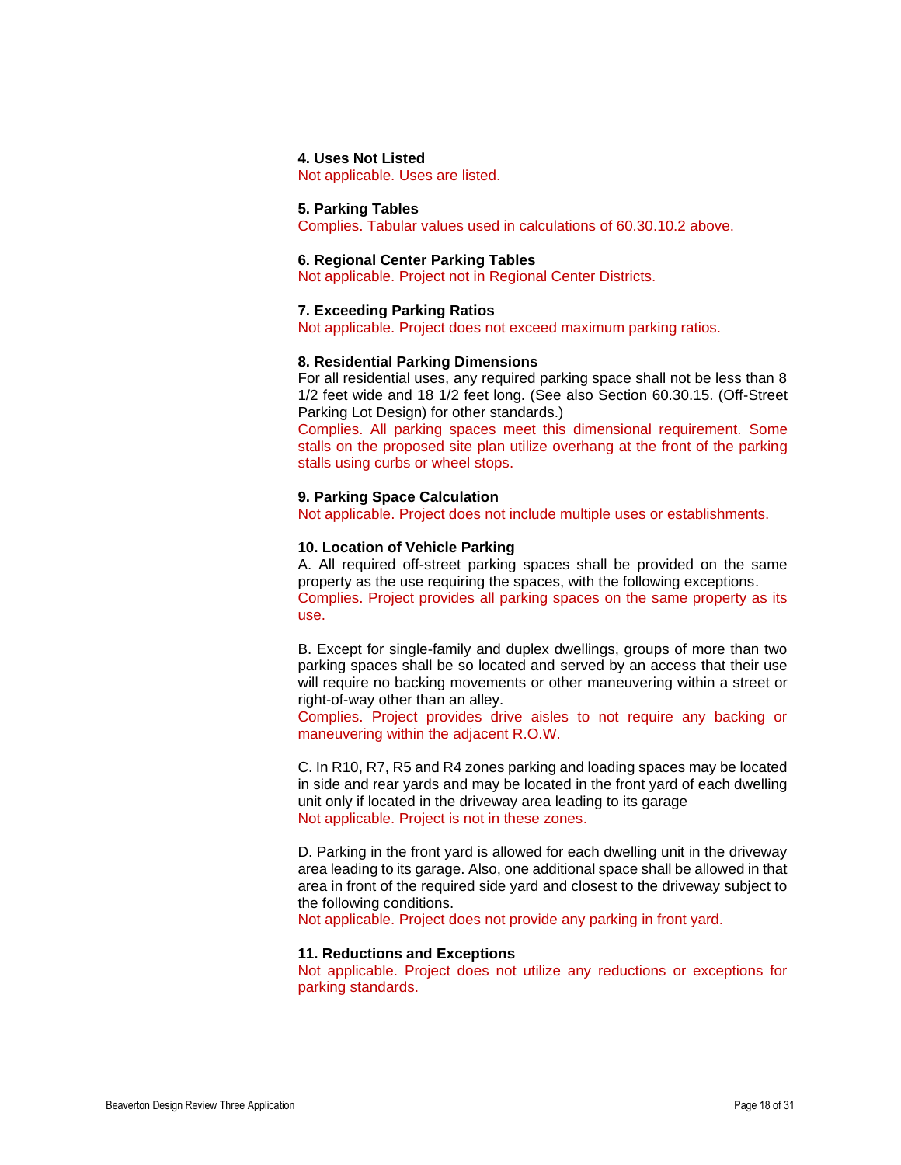#### **4. Uses Not Listed**

Not applicable. Uses are listed.

## **5. Parking Tables**

Complies. Tabular values used in calculations of 60.30.10.2 above.

#### **6. Regional Center Parking Tables**

Not applicable. Project not in Regional Center Districts.

#### **7. Exceeding Parking Ratios**

Not applicable. Project does not exceed maximum parking ratios.

#### **8. Residential Parking Dimensions**

For all residential uses, any required parking space shall not be less than 8 1/2 feet wide and 18 1/2 feet long. (See also Section 60.30.15. (Off-Street Parking Lot Design) for other standards.)

Complies. All parking spaces meet this dimensional requirement. Some stalls on the proposed site plan utilize overhang at the front of the parking stalls using curbs or wheel stops.

#### **9. Parking Space Calculation**

Not applicable. Project does not include multiple uses or establishments.

#### **10. Location of Vehicle Parking**

A. All required off-street parking spaces shall be provided on the same property as the use requiring the spaces, with the following exceptions. Complies. Project provides all parking spaces on the same property as its use.

B. Except for single-family and duplex dwellings, groups of more than two parking spaces shall be so located and served by an access that their use will require no backing movements or other maneuvering within a street or right-of-way other than an alley.

Complies. Project provides drive aisles to not require any backing or maneuvering within the adjacent R.O.W.

C. In R10, R7, R5 and R4 zones parking and loading spaces may be located in side and rear yards and may be located in the front yard of each dwelling unit only if located in the driveway area leading to its garage Not applicable. Project is not in these zones.

D. Parking in the front yard is allowed for each dwelling unit in the driveway area leading to its garage. Also, one additional space shall be allowed in that area in front of the required side yard and closest to the driveway subject to the following conditions.

Not applicable. Project does not provide any parking in front yard.

#### **11. Reductions and Exceptions**

Not applicable. Project does not utilize any reductions or exceptions for parking standards.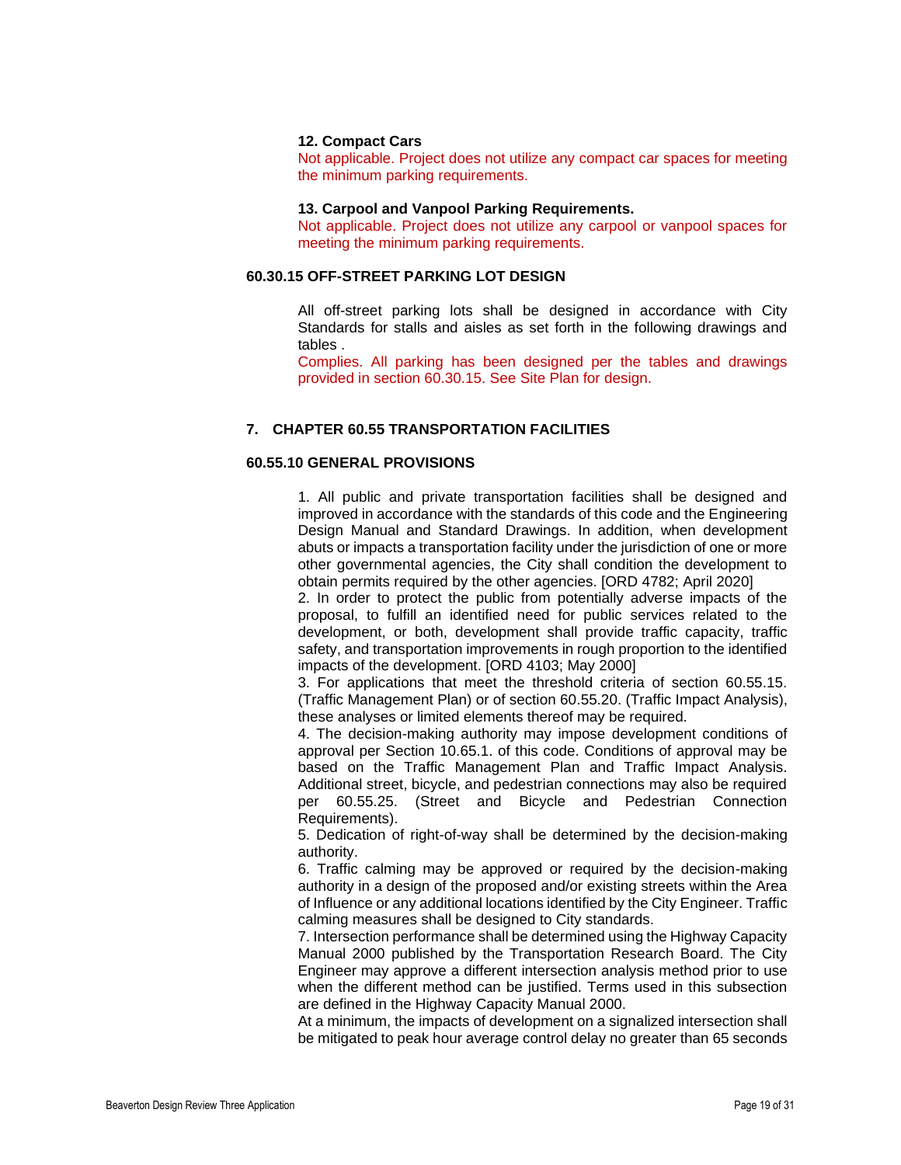#### **12. Compact Cars**

Not applicable. Project does not utilize any compact car spaces for meeting the minimum parking requirements.

#### **13. Carpool and Vanpool Parking Requirements.**

Not applicable. Project does not utilize any carpool or vanpool spaces for meeting the minimum parking requirements.

# **60.30.15 OFF-STREET PARKING LOT DESIGN**

All off-street parking lots shall be designed in accordance with City Standards for stalls and aisles as set forth in the following drawings and tables .

Complies. All parking has been designed per the tables and drawings provided in section 60.30.15. See Site Plan for design.

## **7. CHAPTER 60.55 TRANSPORTATION FACILITIES**

## **60.55.10 GENERAL PROVISIONS**

1. All public and private transportation facilities shall be designed and improved in accordance with the standards of this code and the Engineering Design Manual and Standard Drawings. In addition, when development abuts or impacts a transportation facility under the jurisdiction of one or more other governmental agencies, the City shall condition the development to obtain permits required by the other agencies. [ORD 4782; April 2020]

2. In order to protect the public from potentially adverse impacts of the proposal, to fulfill an identified need for public services related to the development, or both, development shall provide traffic capacity, traffic safety, and transportation improvements in rough proportion to the identified impacts of the development. [ORD 4103; May 2000]

3. For applications that meet the threshold criteria of section 60.55.15. (Traffic Management Plan) or of section 60.55.20. (Traffic Impact Analysis), these analyses or limited elements thereof may be required.

4. The decision-making authority may impose development conditions of approval per Section 10.65.1. of this code. Conditions of approval may be based on the Traffic Management Plan and Traffic Impact Analysis. Additional street, bicycle, and pedestrian connections may also be required per 60.55.25. (Street and Bicycle and Pedestrian Connection Requirements).

5. Dedication of right-of-way shall be determined by the decision-making authority.

6. Traffic calming may be approved or required by the decision-making authority in a design of the proposed and/or existing streets within the Area of Influence or any additional locations identified by the City Engineer. Traffic calming measures shall be designed to City standards.

7. Intersection performance shall be determined using the Highway Capacity Manual 2000 published by the Transportation Research Board. The City Engineer may approve a different intersection analysis method prior to use when the different method can be justified. Terms used in this subsection are defined in the Highway Capacity Manual 2000.

At a minimum, the impacts of development on a signalized intersection shall be mitigated to peak hour average control delay no greater than 65 seconds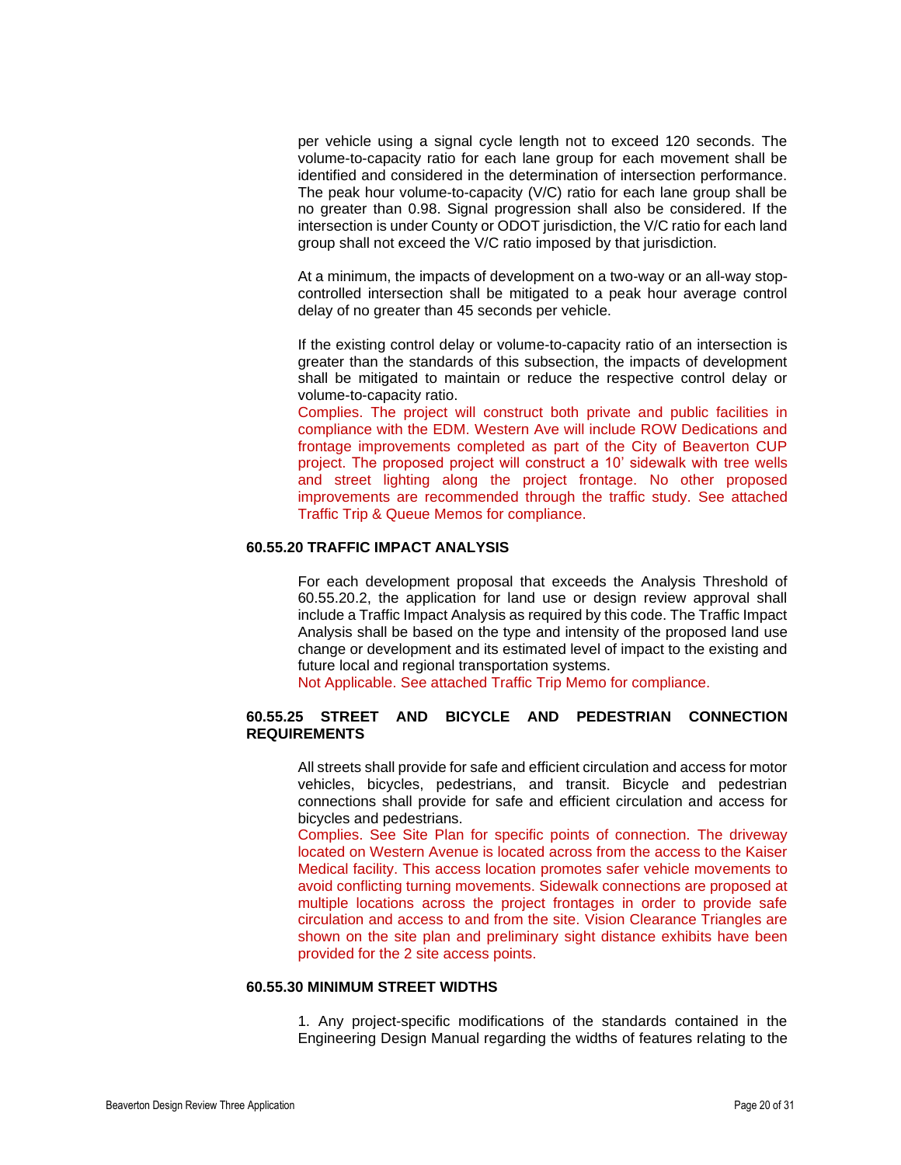per vehicle using a signal cycle length not to exceed 120 seconds. The volume-to-capacity ratio for each lane group for each movement shall be identified and considered in the determination of intersection performance. The peak hour volume-to-capacity (V/C) ratio for each lane group shall be no greater than 0.98. Signal progression shall also be considered. If the intersection is under County or ODOT jurisdiction, the V/C ratio for each land group shall not exceed the V/C ratio imposed by that jurisdiction.

At a minimum, the impacts of development on a two-way or an all-way stopcontrolled intersection shall be mitigated to a peak hour average control delay of no greater than 45 seconds per vehicle.

If the existing control delay or volume-to-capacity ratio of an intersection is greater than the standards of this subsection, the impacts of development shall be mitigated to maintain or reduce the respective control delay or volume-to-capacity ratio.

Complies. The project will construct both private and public facilities in compliance with the EDM. Western Ave will include ROW Dedications and frontage improvements completed as part of the City of Beaverton CUP project. The proposed project will construct a 10' sidewalk with tree wells and street lighting along the project frontage. No other proposed improvements are recommended through the traffic study. See attached Traffic Trip & Queue Memos for compliance.

#### **60.55.20 TRAFFIC IMPACT ANALYSIS**

For each development proposal that exceeds the Analysis Threshold of 60.55.20.2, the application for land use or design review approval shall include a Traffic Impact Analysis as required by this code. The Traffic Impact Analysis shall be based on the type and intensity of the proposed land use change or development and its estimated level of impact to the existing and future local and regional transportation systems.

Not Applicable. See attached Traffic Trip Memo for compliance.

## **60.55.25 STREET AND BICYCLE AND PEDESTRIAN CONNECTION REQUIREMENTS**

All streets shall provide for safe and efficient circulation and access for motor vehicles, bicycles, pedestrians, and transit. Bicycle and pedestrian connections shall provide for safe and efficient circulation and access for bicycles and pedestrians.

Complies. See Site Plan for specific points of connection. The driveway located on Western Avenue is located across from the access to the Kaiser Medical facility. This access location promotes safer vehicle movements to avoid conflicting turning movements. Sidewalk connections are proposed at multiple locations across the project frontages in order to provide safe circulation and access to and from the site. Vision Clearance Triangles are shown on the site plan and preliminary sight distance exhibits have been provided for the 2 site access points.

## **60.55.30 MINIMUM STREET WIDTHS**

1. Any project-specific modifications of the standards contained in the Engineering Design Manual regarding the widths of features relating to the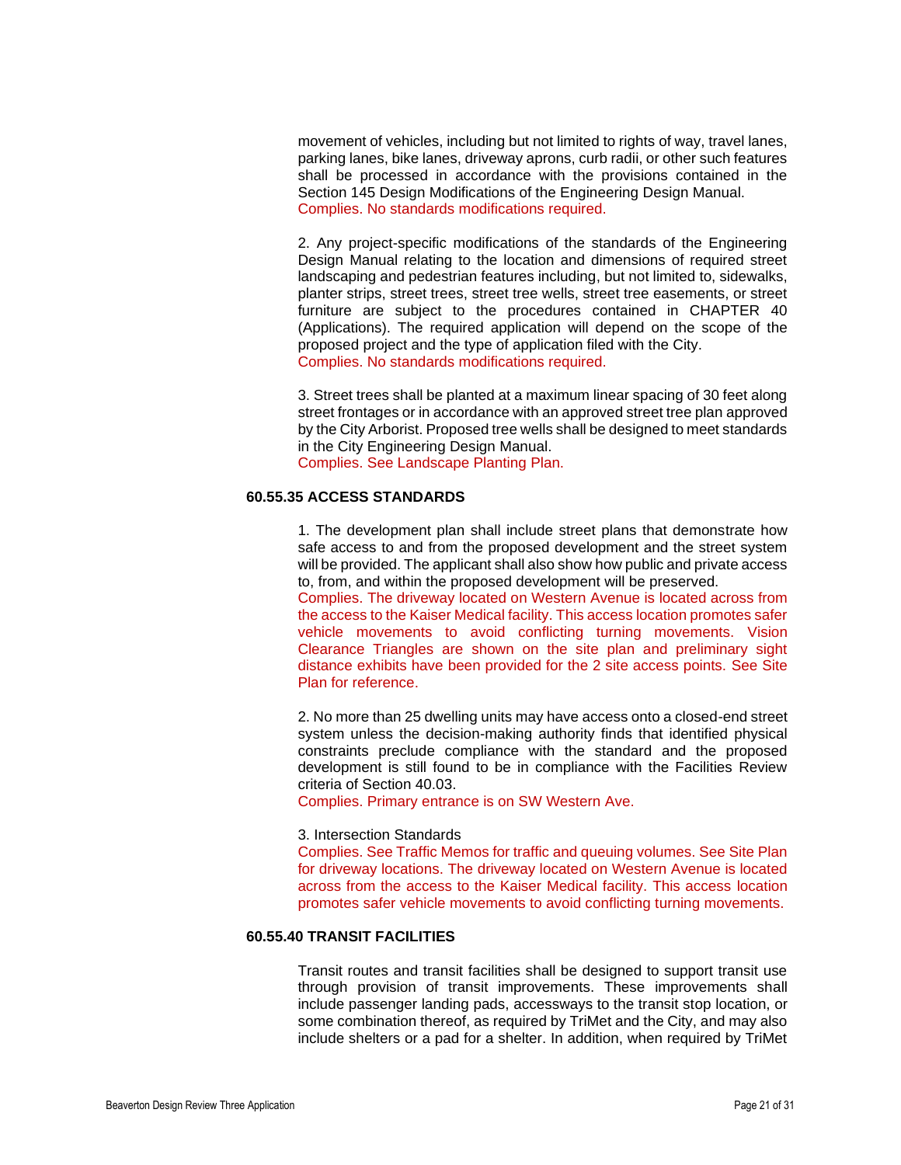movement of vehicles, including but not limited to rights of way, travel lanes, parking lanes, bike lanes, driveway aprons, curb radii, or other such features shall be processed in accordance with the provisions contained in the Section 145 Design Modifications of the Engineering Design Manual. Complies. No standards modifications required.

2. Any project-specific modifications of the standards of the Engineering Design Manual relating to the location and dimensions of required street landscaping and pedestrian features including, but not limited to, sidewalks, planter strips, street trees, street tree wells, street tree easements, or street furniture are subject to the procedures contained in CHAPTER 40 (Applications). The required application will depend on the scope of the proposed project and the type of application filed with the City. Complies. No standards modifications required.

3. Street trees shall be planted at a maximum linear spacing of 30 feet along street frontages or in accordance with an approved street tree plan approved by the City Arborist. Proposed tree wells shall be designed to meet standards in the City Engineering Design Manual. Complies. See Landscape Planting Plan.

## **60.55.35 ACCESS STANDARDS**

1. The development plan shall include street plans that demonstrate how safe access to and from the proposed development and the street system will be provided. The applicant shall also show how public and private access to, from, and within the proposed development will be preserved. Complies. The driveway located on Western Avenue is located across from

the access to the Kaiser Medical facility. This access location promotes safer vehicle movements to avoid conflicting turning movements. Vision Clearance Triangles are shown on the site plan and preliminary sight distance exhibits have been provided for the 2 site access points. See Site Plan for reference.

2. No more than 25 dwelling units may have access onto a closed-end street system unless the decision-making authority finds that identified physical constraints preclude compliance with the standard and the proposed development is still found to be in compliance with the Facilities Review criteria of Section 40.03.

Complies. Primary entrance is on SW Western Ave.

#### 3. Intersection Standards

Complies. See Traffic Memos for traffic and queuing volumes. See Site Plan for driveway locations. The driveway located on Western Avenue is located across from the access to the Kaiser Medical facility. This access location promotes safer vehicle movements to avoid conflicting turning movements.

#### **60.55.40 TRANSIT FACILITIES**

Transit routes and transit facilities shall be designed to support transit use through provision of transit improvements. These improvements shall include passenger landing pads, accessways to the transit stop location, or some combination thereof, as required by TriMet and the City, and may also include shelters or a pad for a shelter. In addition, when required by TriMet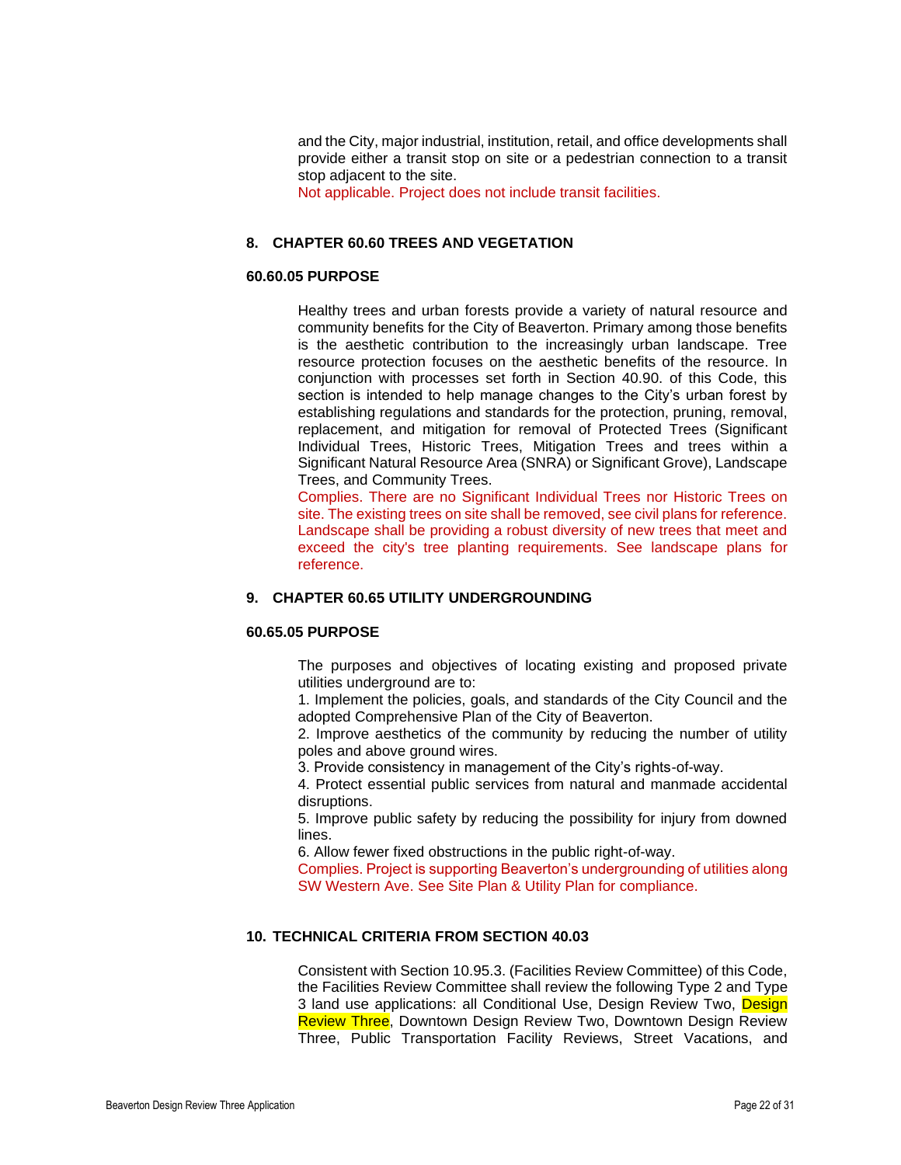and the City, major industrial, institution, retail, and office developments shall provide either a transit stop on site or a pedestrian connection to a transit stop adjacent to the site.

Not applicable. Project does not include transit facilities.

## **8. CHAPTER 60.60 TREES AND VEGETATION**

#### **60.60.05 PURPOSE**

Healthy trees and urban forests provide a variety of natural resource and community benefits for the City of Beaverton. Primary among those benefits is the aesthetic contribution to the increasingly urban landscape. Tree resource protection focuses on the aesthetic benefits of the resource. In conjunction with processes set forth in Section 40.90. of this Code, this section is intended to help manage changes to the City's urban forest by establishing regulations and standards for the protection, pruning, removal, replacement, and mitigation for removal of Protected Trees (Significant Individual Trees, Historic Trees, Mitigation Trees and trees within a Significant Natural Resource Area (SNRA) or Significant Grove), Landscape Trees, and Community Trees.

Complies. There are no Significant Individual Trees nor Historic Trees on site. The existing trees on site shall be removed, see civil plans for reference. Landscape shall be providing a robust diversity of new trees that meet and exceed the city's tree planting requirements. See landscape plans for reference.

## **9. CHAPTER 60.65 UTILITY UNDERGROUNDING**

## **60.65.05 PURPOSE**

The purposes and objectives of locating existing and proposed private utilities underground are to:

1. Implement the policies, goals, and standards of the City Council and the adopted Comprehensive Plan of the City of Beaverton.

2. Improve aesthetics of the community by reducing the number of utility poles and above ground wires.

3. Provide consistency in management of the City's rights-of-way.

4. Protect essential public services from natural and manmade accidental disruptions.

5. Improve public safety by reducing the possibility for injury from downed lines.

6. Allow fewer fixed obstructions in the public right-of-way.

Complies. Project is supporting Beaverton's undergrounding of utilities along SW Western Ave. See Site Plan & Utility Plan for compliance.

## **10. TECHNICAL CRITERIA FROM SECTION 40.03**

Consistent with Section 10.95.3. (Facilities Review Committee) of this Code, the Facilities Review Committee shall review the following Type 2 and Type 3 land use applications: all Conditional Use, Design Review Two, Design Review Three, Downtown Design Review Two, Downtown Design Review Three, Public Transportation Facility Reviews, Street Vacations, and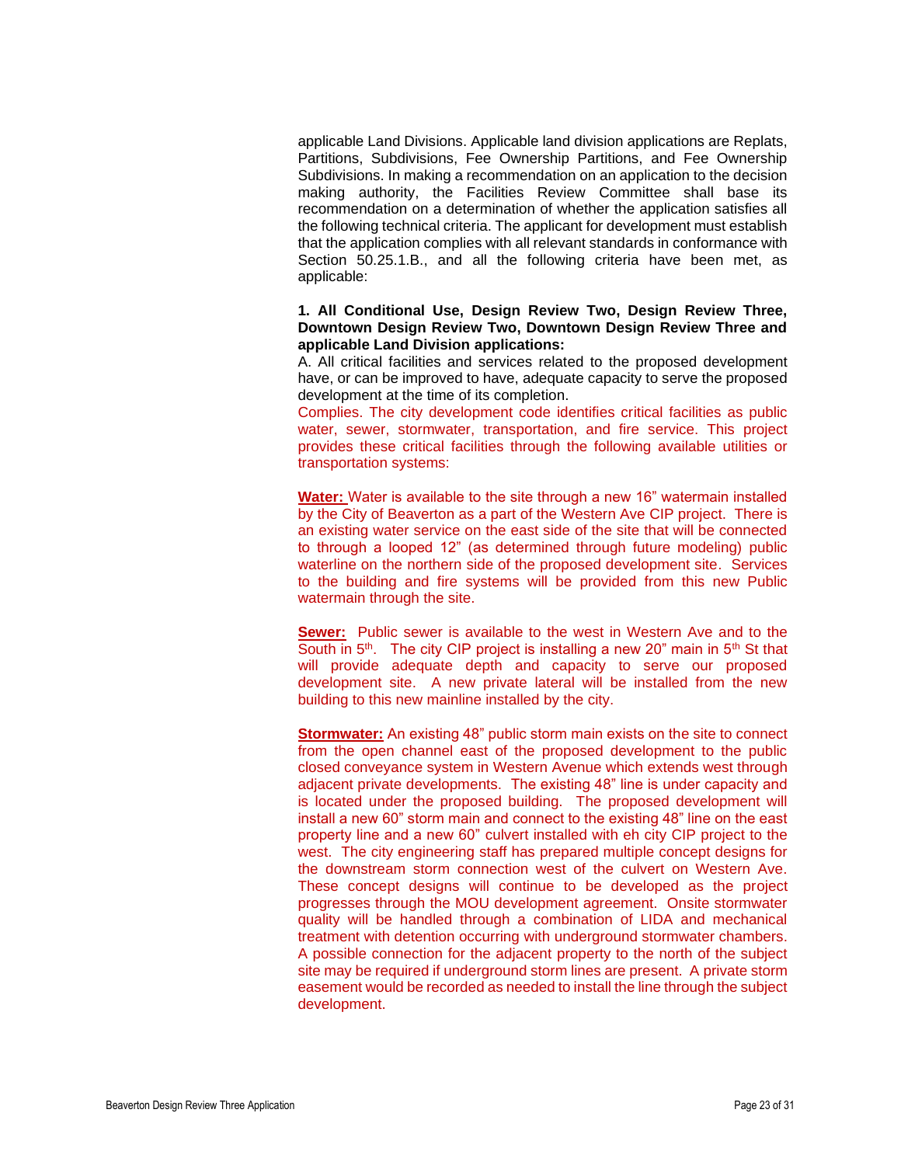applicable Land Divisions. Applicable land division applications are Replats, Partitions, Subdivisions, Fee Ownership Partitions, and Fee Ownership Subdivisions. In making a recommendation on an application to the decision making authority, the Facilities Review Committee shall base its recommendation on a determination of whether the application satisfies all the following technical criteria. The applicant for development must establish that the application complies with all relevant standards in conformance with Section 50.25.1.B., and all the following criteria have been met, as applicable:

## **1. All Conditional Use, Design Review Two, Design Review Three, Downtown Design Review Two, Downtown Design Review Three and applicable Land Division applications:**

A. All critical facilities and services related to the proposed development have, or can be improved to have, adequate capacity to serve the proposed development at the time of its completion.

Complies. The city development code identifies critical facilities as public water, sewer, stormwater, transportation, and fire service. This project provides these critical facilities through the following available utilities or transportation systems:

**Water:** Water is available to the site through a new 16" watermain installed by the City of Beaverton as a part of the Western Ave CIP project. There is an existing water service on the east side of the site that will be connected to through a looped 12" (as determined through future modeling) public waterline on the northern side of the proposed development site. Services to the building and fire systems will be provided from this new Public watermain through the site.

**Sewer:** Public sewer is available to the west in Western Ave and to the South in  $5<sup>th</sup>$ . The city CIP project is installing a new 20" main in  $5<sup>th</sup>$  St that will provide adequate depth and capacity to serve our proposed development site. A new private lateral will be installed from the new building to this new mainline installed by the city.

**Stormwater:** An existing 48" public storm main exists on the site to connect from the open channel east of the proposed development to the public closed conveyance system in Western Avenue which extends west through adjacent private developments. The existing 48" line is under capacity and is located under the proposed building. The proposed development will install a new 60" storm main and connect to the existing 48" line on the east property line and a new 60" culvert installed with eh city CIP project to the west. The city engineering staff has prepared multiple concept designs for the downstream storm connection west of the culvert on Western Ave. These concept designs will continue to be developed as the project progresses through the MOU development agreement. Onsite stormwater quality will be handled through a combination of LIDA and mechanical treatment with detention occurring with underground stormwater chambers. A possible connection for the adjacent property to the north of the subject site may be required if underground storm lines are present. A private storm easement would be recorded as needed to install the line through the subject development.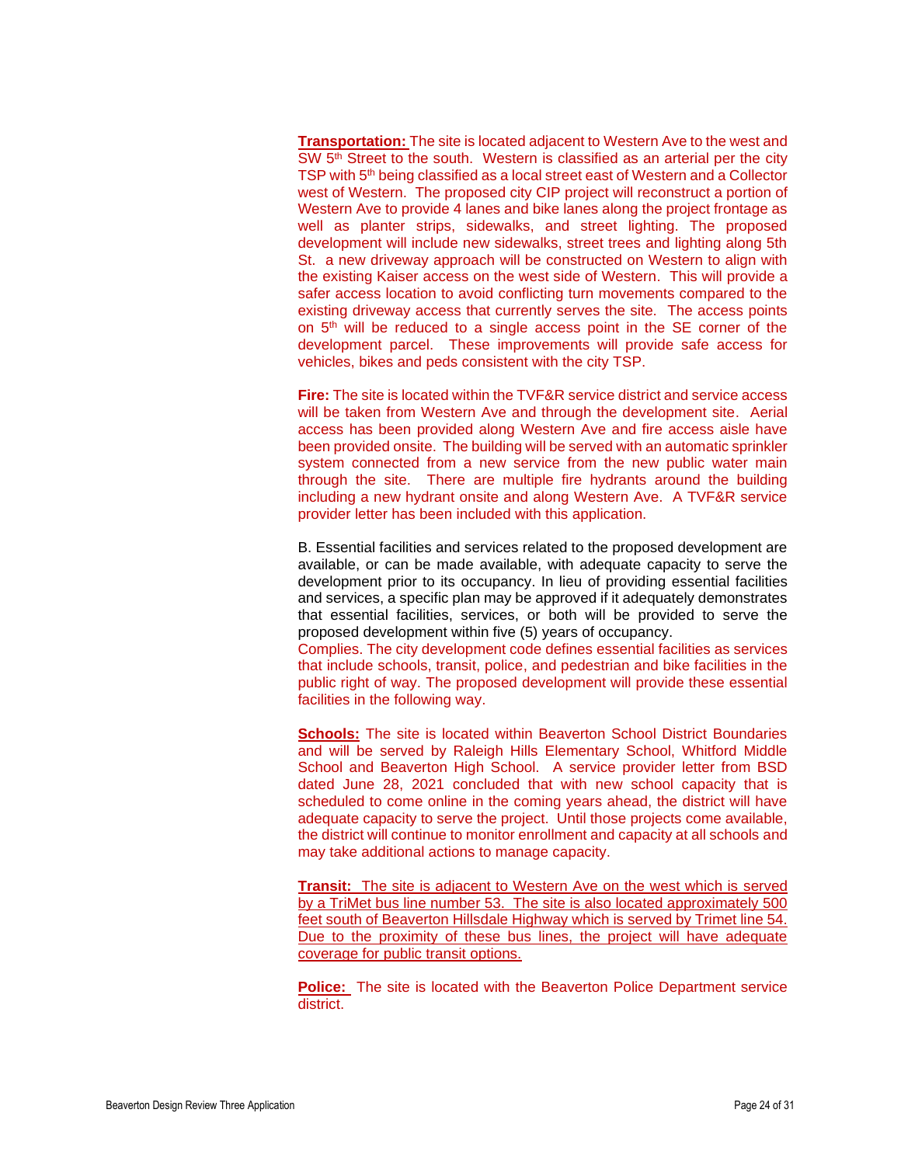**Transportation:** The site is located adjacent to Western Ave to the west and SW 5<sup>th</sup> Street to the south. Western is classified as an arterial per the city TSP with 5<sup>th</sup> being classified as a local street east of Western and a Collector west of Western. The proposed city CIP project will reconstruct a portion of Western Ave to provide 4 lanes and bike lanes along the project frontage as well as planter strips, sidewalks, and street lighting. The proposed development will include new sidewalks, street trees and lighting along 5th St. a new driveway approach will be constructed on Western to align with the existing Kaiser access on the west side of Western. This will provide a safer access location to avoid conflicting turn movements compared to the existing driveway access that currently serves the site. The access points on 5<sup>th</sup> will be reduced to a single access point in the SE corner of the development parcel. These improvements will provide safe access for vehicles, bikes and peds consistent with the city TSP.

**Fire:** The site is located within the TVF&R service district and service access will be taken from Western Ave and through the development site. Aerial access has been provided along Western Ave and fire access aisle have been provided onsite. The building will be served with an automatic sprinkler system connected from a new service from the new public water main through the site. There are multiple fire hydrants around the building including a new hydrant onsite and along Western Ave. A TVF&R service provider letter has been included with this application.

B. Essential facilities and services related to the proposed development are available, or can be made available, with adequate capacity to serve the development prior to its occupancy. In lieu of providing essential facilities and services, a specific plan may be approved if it adequately demonstrates that essential facilities, services, or both will be provided to serve the proposed development within five (5) years of occupancy.

Complies. The city development code defines essential facilities as services that include schools, transit, police, and pedestrian and bike facilities in the public right of way. The proposed development will provide these essential facilities in the following way.

**Schools:** The site is located within Beaverton School District Boundaries and will be served by Raleigh Hills Elementary School, Whitford Middle School and Beaverton High School. A service provider letter from BSD dated June 28, 2021 concluded that with new school capacity that is scheduled to come online in the coming years ahead, the district will have adequate capacity to serve the project. Until those projects come available, the district will continue to monitor enrollment and capacity at all schools and may take additional actions to manage capacity.

**Transit:** The site is adjacent to Western Ave on the west which is served by a TriMet bus line number 53. The site is also located approximately 500 feet south of Beaverton Hillsdale Highway which is served by Trimet line 54. Due to the proximity of these bus lines, the project will have adequate coverage for public transit options.

**Police:** The site is located with the Beaverton Police Department service district.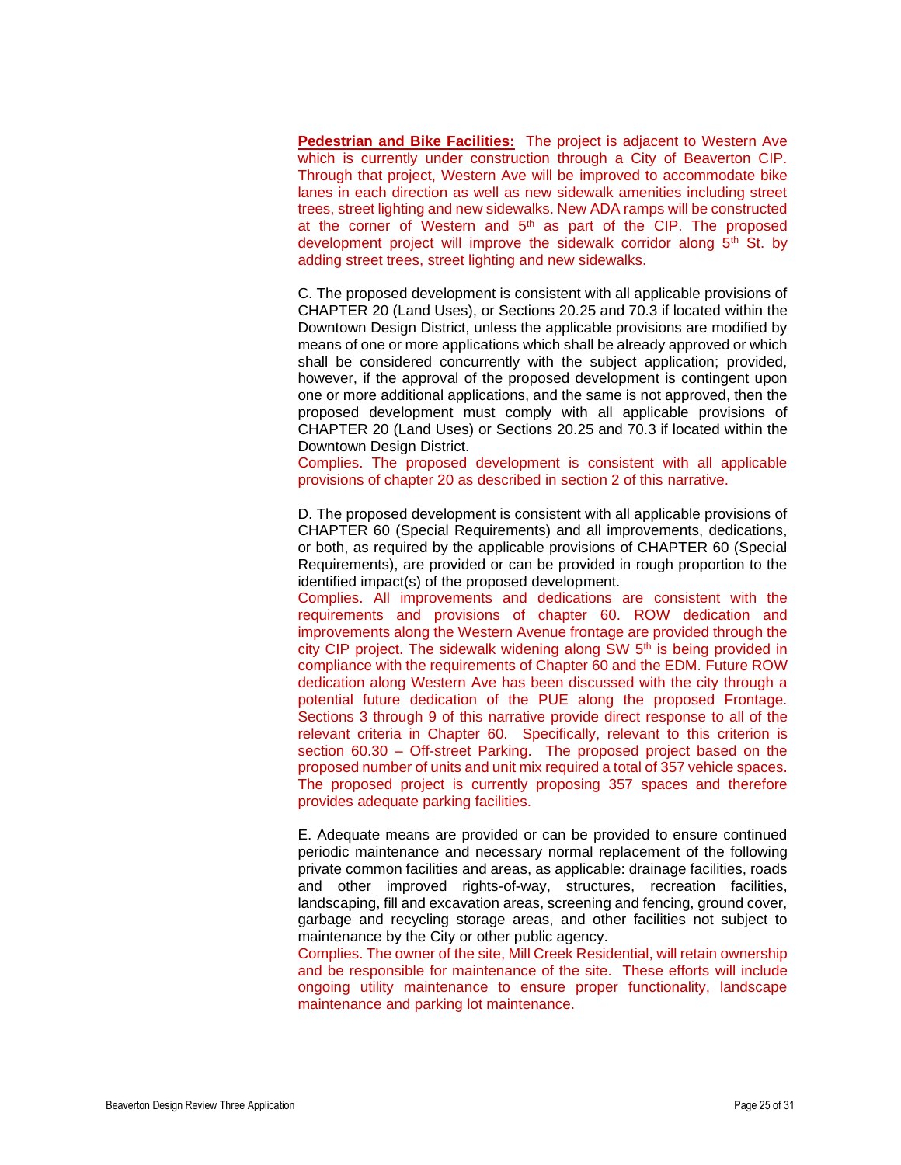**Pedestrian and Bike Facilities:** The project is adjacent to Western Ave which is currently under construction through a City of Beaverton CIP. Through that project, Western Ave will be improved to accommodate bike lanes in each direction as well as new sidewalk amenities including street trees, street lighting and new sidewalks. New ADA ramps will be constructed at the corner of Western and 5<sup>th</sup> as part of the CIP. The proposed development project will improve the sidewalk corridor along  $5<sup>th</sup>$  St. by adding street trees, street lighting and new sidewalks.

C. The proposed development is consistent with all applicable provisions of CHAPTER 20 (Land Uses), or Sections 20.25 and 70.3 if located within the Downtown Design District, unless the applicable provisions are modified by means of one or more applications which shall be already approved or which shall be considered concurrently with the subject application; provided, however, if the approval of the proposed development is contingent upon one or more additional applications, and the same is not approved, then the proposed development must comply with all applicable provisions of CHAPTER 20 (Land Uses) or Sections 20.25 and 70.3 if located within the Downtown Design District.

Complies. The proposed development is consistent with all applicable provisions of chapter 20 as described in section 2 of this narrative.

D. The proposed development is consistent with all applicable provisions of CHAPTER 60 (Special Requirements) and all improvements, dedications, or both, as required by the applicable provisions of CHAPTER 60 (Special Requirements), are provided or can be provided in rough proportion to the identified impact(s) of the proposed development.

Complies. All improvements and dedications are consistent with the requirements and provisions of chapter 60. ROW dedication and improvements along the Western Avenue frontage are provided through the city CIP project. The sidewalk widening along SW 5<sup>th</sup> is being provided in compliance with the requirements of Chapter 60 and the EDM. Future ROW dedication along Western Ave has been discussed with the city through a potential future dedication of the PUE along the proposed Frontage. Sections 3 through 9 of this narrative provide direct response to all of the relevant criteria in Chapter 60. Specifically, relevant to this criterion is section 60.30 – Off-street Parking. The proposed project based on the proposed number of units and unit mix required a total of 357 vehicle spaces. The proposed project is currently proposing 357 spaces and therefore provides adequate parking facilities.

E. Adequate means are provided or can be provided to ensure continued periodic maintenance and necessary normal replacement of the following private common facilities and areas, as applicable: drainage facilities, roads and other improved rights-of-way, structures, recreation facilities, landscaping, fill and excavation areas, screening and fencing, ground cover, garbage and recycling storage areas, and other facilities not subject to maintenance by the City or other public agency.

Complies. The owner of the site, Mill Creek Residential, will retain ownership and be responsible for maintenance of the site. These efforts will include ongoing utility maintenance to ensure proper functionality, landscape maintenance and parking lot maintenance.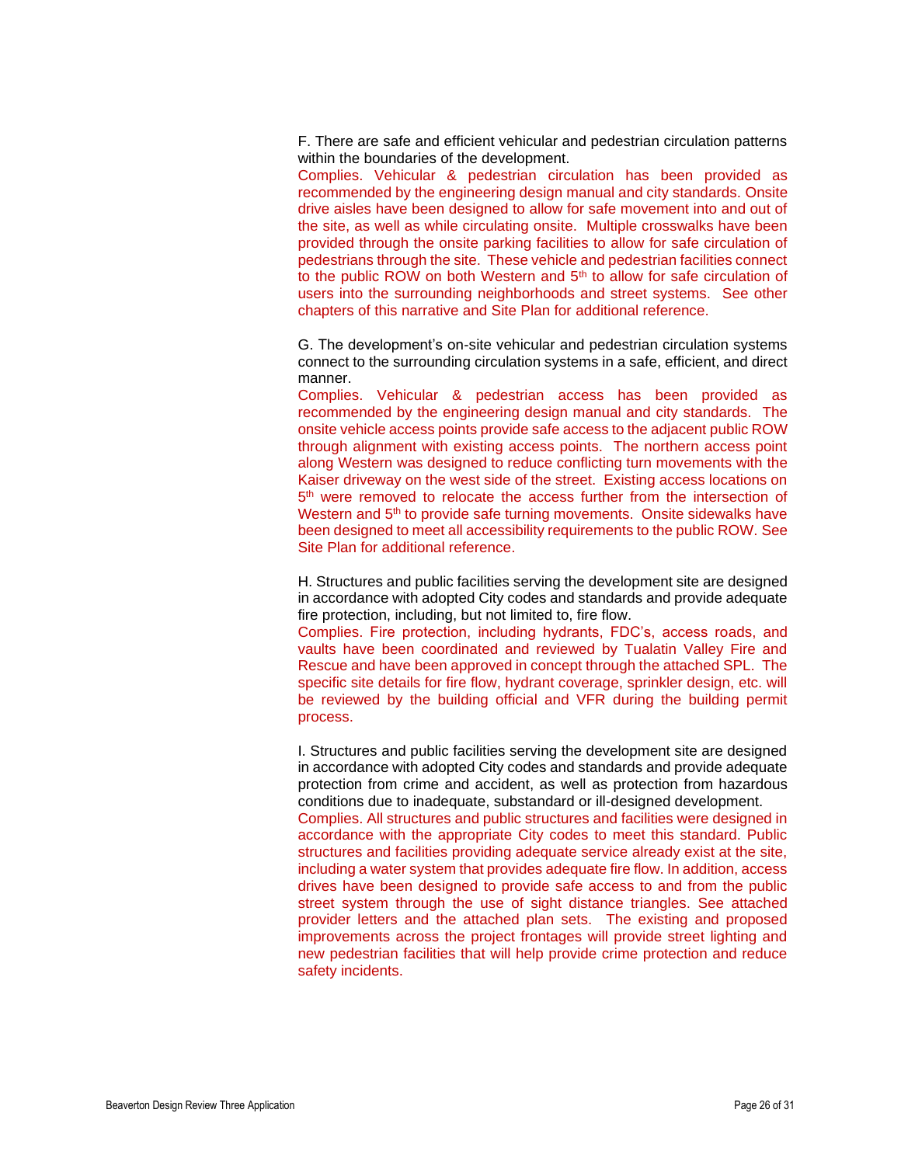F. There are safe and efficient vehicular and pedestrian circulation patterns within the boundaries of the development.

Complies. Vehicular & pedestrian circulation has been provided as recommended by the engineering design manual and city standards. Onsite drive aisles have been designed to allow for safe movement into and out of the site, as well as while circulating onsite. Multiple crosswalks have been provided through the onsite parking facilities to allow for safe circulation of pedestrians through the site. These vehicle and pedestrian facilities connect to the public ROW on both Western and 5<sup>th</sup> to allow for safe circulation of users into the surrounding neighborhoods and street systems. See other chapters of this narrative and Site Plan for additional reference.

G. The development's on-site vehicular and pedestrian circulation systems connect to the surrounding circulation systems in a safe, efficient, and direct manner.

Complies. Vehicular & pedestrian access has been provided as recommended by the engineering design manual and city standards. The onsite vehicle access points provide safe access to the adjacent public ROW through alignment with existing access points. The northern access point along Western was designed to reduce conflicting turn movements with the Kaiser driveway on the west side of the street. Existing access locations on 5<sup>th</sup> were removed to relocate the access further from the intersection of Western and 5<sup>th</sup> to provide safe turning movements. Onsite sidewalks have been designed to meet all accessibility requirements to the public ROW. See Site Plan for additional reference.

H. Structures and public facilities serving the development site are designed in accordance with adopted City codes and standards and provide adequate fire protection, including, but not limited to, fire flow.

Complies. Fire protection, including hydrants, FDC's, access roads, and vaults have been coordinated and reviewed by Tualatin Valley Fire and Rescue and have been approved in concept through the attached SPL. The specific site details for fire flow, hydrant coverage, sprinkler design, etc. will be reviewed by the building official and VFR during the building permit process.

I. Structures and public facilities serving the development site are designed in accordance with adopted City codes and standards and provide adequate protection from crime and accident, as well as protection from hazardous conditions due to inadequate, substandard or ill-designed development. Complies. All structures and public structures and facilities were designed in accordance with the appropriate City codes to meet this standard. Public structures and facilities providing adequate service already exist at the site, including a water system that provides adequate fire flow. In addition, access drives have been designed to provide safe access to and from the public street system through the use of sight distance triangles. See attached provider letters and the attached plan sets. The existing and proposed improvements across the project frontages will provide street lighting and new pedestrian facilities that will help provide crime protection and reduce safety incidents.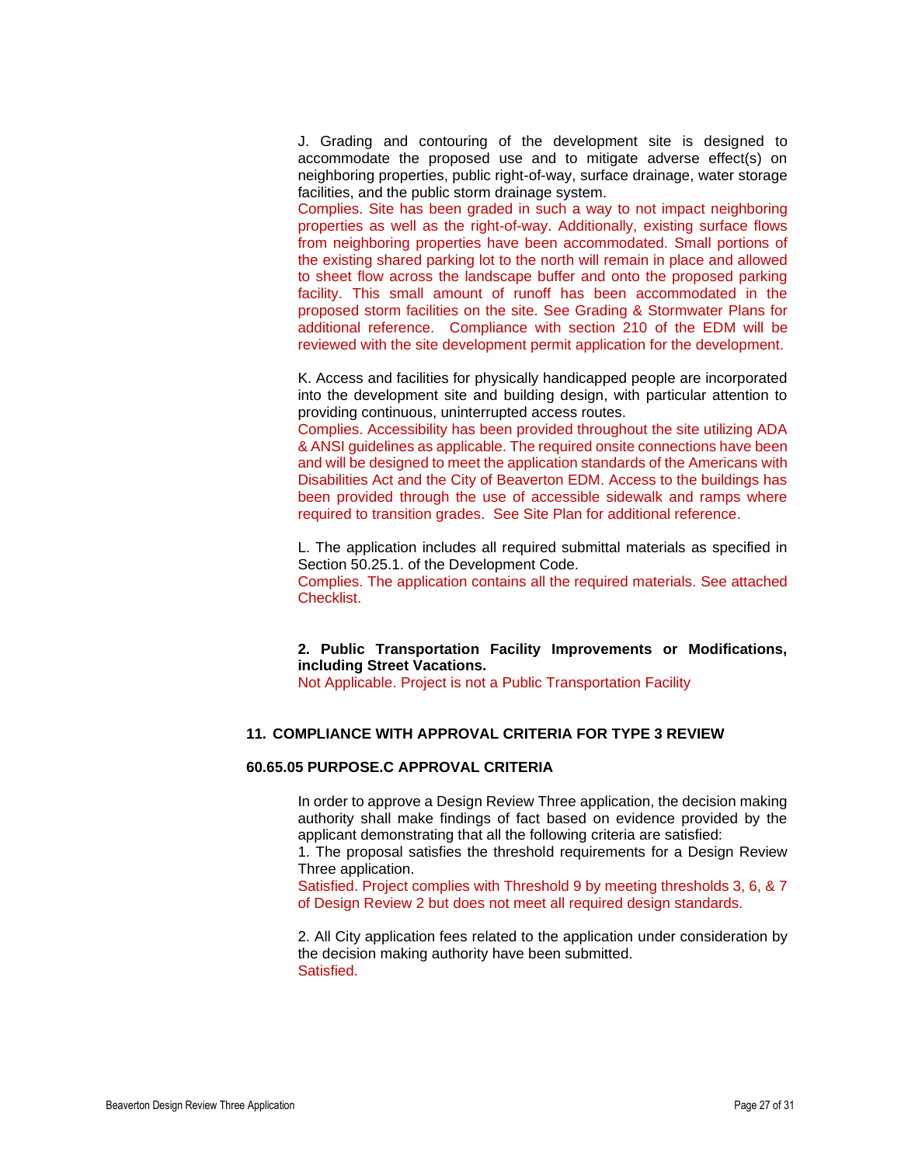J. Grading and contouring of the development site is designed to accommodate the proposed use and to mitigate adverse effect(s) on neighboring properties, public right-of-way, surface drainage, water storage facilities, and the public storm drainage system.

Complies. Site has been graded in such a way to not impact neighboring properties as well as the right-of-way. Additionally, existing surface flows from neighboring properties have been accommodated. Small portions of the existing shared parking lot to the north will remain in place and allowed to sheet flow across the landscape buffer and onto the proposed parking facility. This small amount of runoff has been accommodated in the proposed storm facilities on the site. See Grading & Stormwater Plans for additional reference. Compliance with section 210 of the EDM will be reviewed with the site development permit application for the development.

K. Access and facilities for physically handicapped people are incorporated into the development site and building design, with particular attention to providing continuous, uninterrupted access routes.

Complies. Accessibility has been provided throughout the site utilizing ADA & ANSI guidelines as applicable. The required onsite connections have been and will be designed to meet the application standards of the Americans with Disabilities Act and the City of Beaverton EDM. Access to the buildings has been provided through the use of accessible sidewalk and ramps where required to transition grades. See Site Plan for additional reference.

L. The application includes all required submittal materials as specified in Section 50.25.1. of the Development Code.

Complies. The application contains all the required materials. See attached Checklist.

## **2. Public Transportation Facility Improvements or Modifications, including Street Vacations.**

Not Applicable. Project is not a Public Transportation Facility

## **11. COMPLIANCE WITH APPROVAL CRITERIA FOR TYPE 3 REVIEW**

#### **60.65.05 PURPOSE.C APPROVAL CRITERIA**

In order to approve a Design Review Three application, the decision making authority shall make findings of fact based on evidence provided by the applicant demonstrating that all the following criteria are satisfied:

1. The proposal satisfies the threshold requirements for a Design Review Three application.

Satisfied. Project complies with Threshold 9 by meeting thresholds 3, 6, & 7 of Design Review 2 but does not meet all required design standards.

2. All City application fees related to the application under consideration by the decision making authority have been submitted. Satisfied.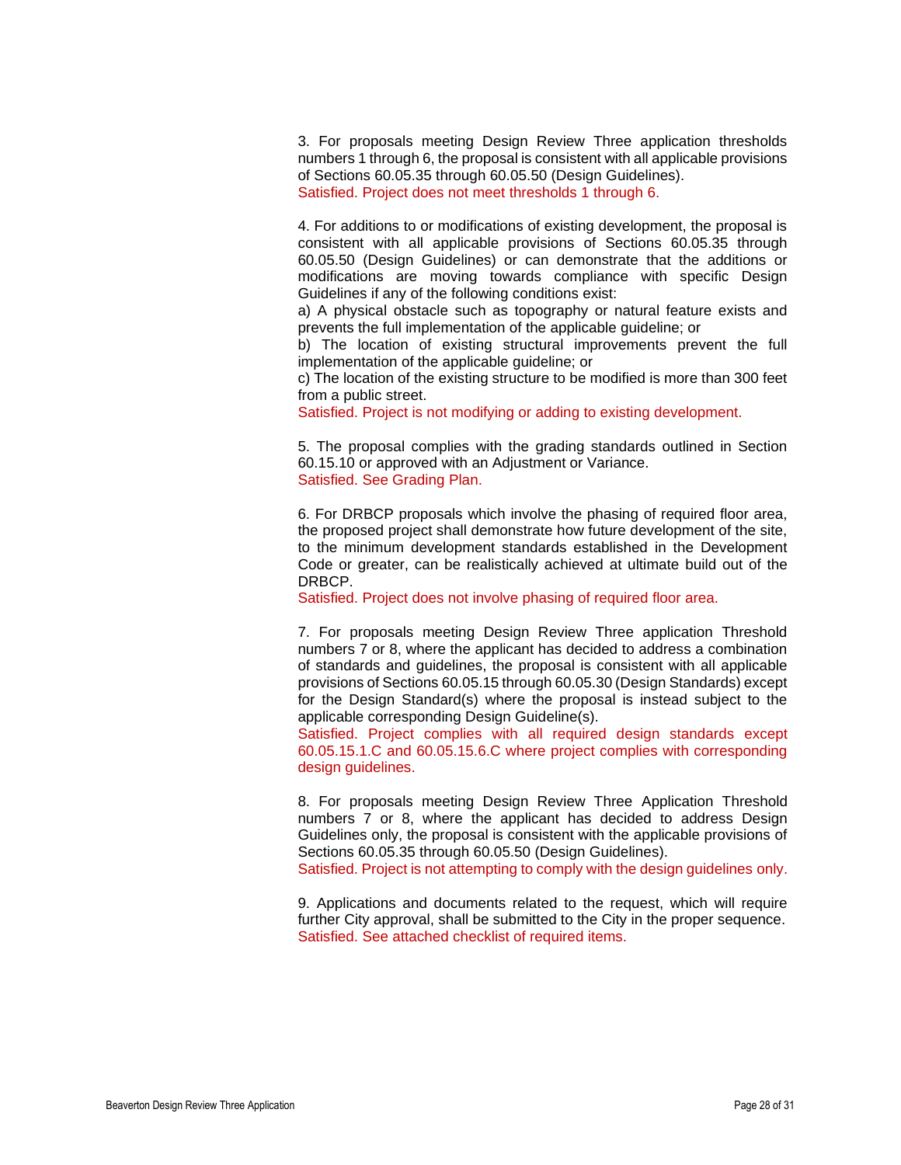3. For proposals meeting Design Review Three application thresholds numbers 1 through 6, the proposal is consistent with all applicable provisions of Sections 60.05.35 through 60.05.50 (Design Guidelines). Satisfied. Project does not meet thresholds 1 through 6.

4. For additions to or modifications of existing development, the proposal is consistent with all applicable provisions of Sections 60.05.35 through 60.05.50 (Design Guidelines) or can demonstrate that the additions or modifications are moving towards compliance with specific Design Guidelines if any of the following conditions exist:

a) A physical obstacle such as topography or natural feature exists and prevents the full implementation of the applicable guideline; or

b) The location of existing structural improvements prevent the full implementation of the applicable guideline; or

c) The location of the existing structure to be modified is more than 300 feet from a public street.

Satisfied. Project is not modifying or adding to existing development.

5. The proposal complies with the grading standards outlined in Section 60.15.10 or approved with an Adjustment or Variance. Satisfied. See Grading Plan.

6. For DRBCP proposals which involve the phasing of required floor area, the proposed project shall demonstrate how future development of the site, to the minimum development standards established in the Development Code or greater, can be realistically achieved at ultimate build out of the DRBCP.

Satisfied. Project does not involve phasing of required floor area.

7. For proposals meeting Design Review Three application Threshold numbers 7 or 8, where the applicant has decided to address a combination of standards and guidelines, the proposal is consistent with all applicable provisions of Sections 60.05.15 through 60.05.30 (Design Standards) except for the Design Standard(s) where the proposal is instead subject to the applicable corresponding Design Guideline(s).

Satisfied. Project complies with all required design standards except 60.05.15.1.C and 60.05.15.6.C where project complies with corresponding design guidelines.

8. For proposals meeting Design Review Three Application Threshold numbers 7 or 8, where the applicant has decided to address Design Guidelines only, the proposal is consistent with the applicable provisions of Sections 60.05.35 through 60.05.50 (Design Guidelines).

Satisfied. Project is not attempting to comply with the design guidelines only.

9. Applications and documents related to the request, which will require further City approval, shall be submitted to the City in the proper sequence. Satisfied. See attached checklist of required items.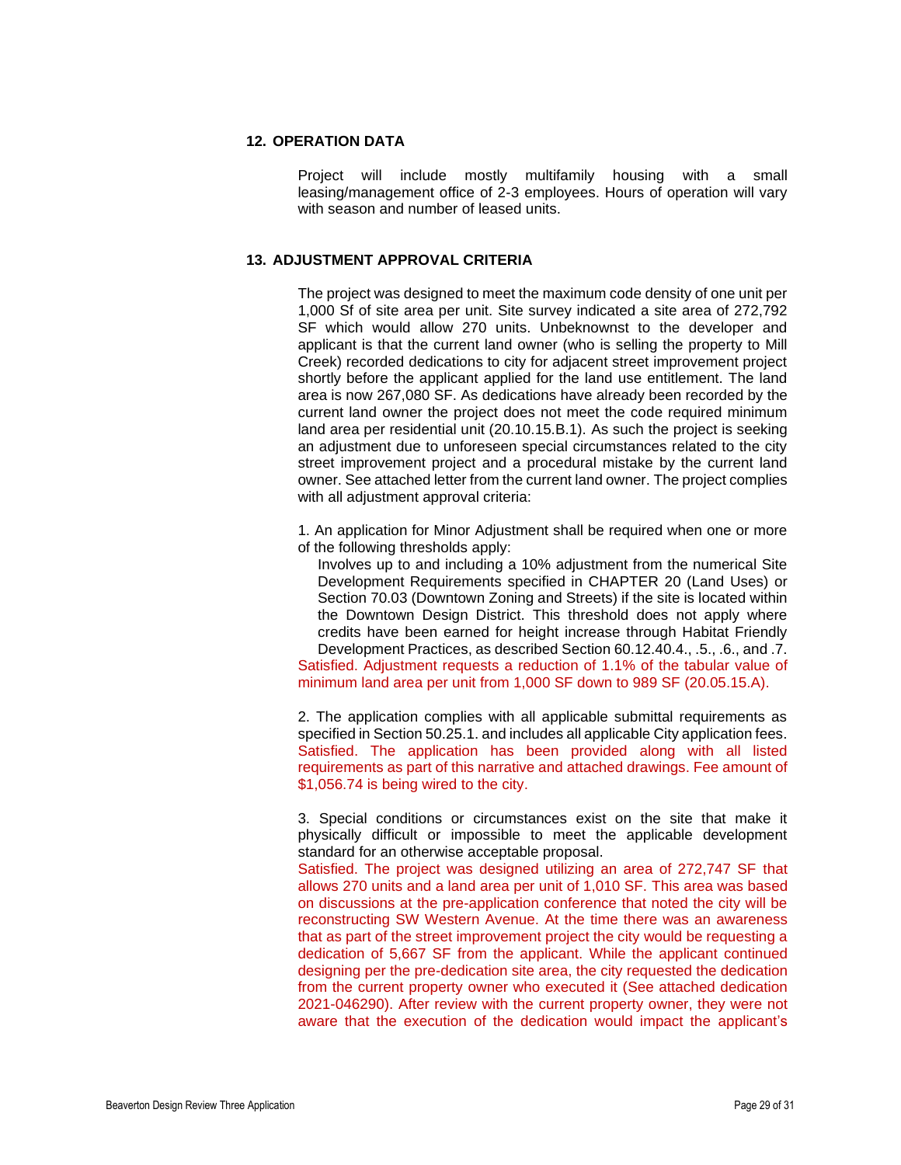## **12. OPERATION DATA**

Project will include mostly multifamily housing with a small leasing/management office of 2-3 employees. Hours of operation will vary with season and number of leased units.

## **13. ADJUSTMENT APPROVAL CRITERIA**

The project was designed to meet the maximum code density of one unit per 1,000 Sf of site area per unit. Site survey indicated a site area of 272,792 SF which would allow 270 units. Unbeknownst to the developer and applicant is that the current land owner (who is selling the property to Mill Creek) recorded dedications to city for adjacent street improvement project shortly before the applicant applied for the land use entitlement. The land area is now 267,080 SF. As dedications have already been recorded by the current land owner the project does not meet the code required minimum land area per residential unit (20.10.15.B.1). As such the project is seeking an adjustment due to unforeseen special circumstances related to the city street improvement project and a procedural mistake by the current land owner. See attached letter from the current land owner. The project complies with all adjustment approval criteria:

- 1. An application for Minor Adjustment shall be required when one or more of the following thresholds apply:
	- Involves up to and including a 10% adjustment from the numerical Site Development Requirements specified in CHAPTER 20 (Land Uses) or Section 70.03 (Downtown Zoning and Streets) if the site is located within the Downtown Design District. This threshold does not apply where credits have been earned for height increase through Habitat Friendly Development Practices, as described Section 60.12.40.4., .5., .6., and .7.

Satisfied. Adjustment requests a reduction of 1.1% of the tabular value of minimum land area per unit from 1,000 SF down to 989 SF (20.05.15.A).

2. The application complies with all applicable submittal requirements as specified in Section 50.25.1. and includes all applicable City application fees. Satisfied. The application has been provided along with all listed requirements as part of this narrative and attached drawings. Fee amount of \$1,056.74 is being wired to the city.

3. Special conditions or circumstances exist on the site that make it physically difficult or impossible to meet the applicable development standard for an otherwise acceptable proposal.

Satisfied. The project was designed utilizing an area of 272,747 SF that allows 270 units and a land area per unit of 1,010 SF. This area was based on discussions at the pre-application conference that noted the city will be reconstructing SW Western Avenue. At the time there was an awareness that as part of the street improvement project the city would be requesting a dedication of 5,667 SF from the applicant. While the applicant continued designing per the pre-dedication site area, the city requested the dedication from the current property owner who executed it (See attached dedication 2021-046290). After review with the current property owner, they were not aware that the execution of the dedication would impact the applicant's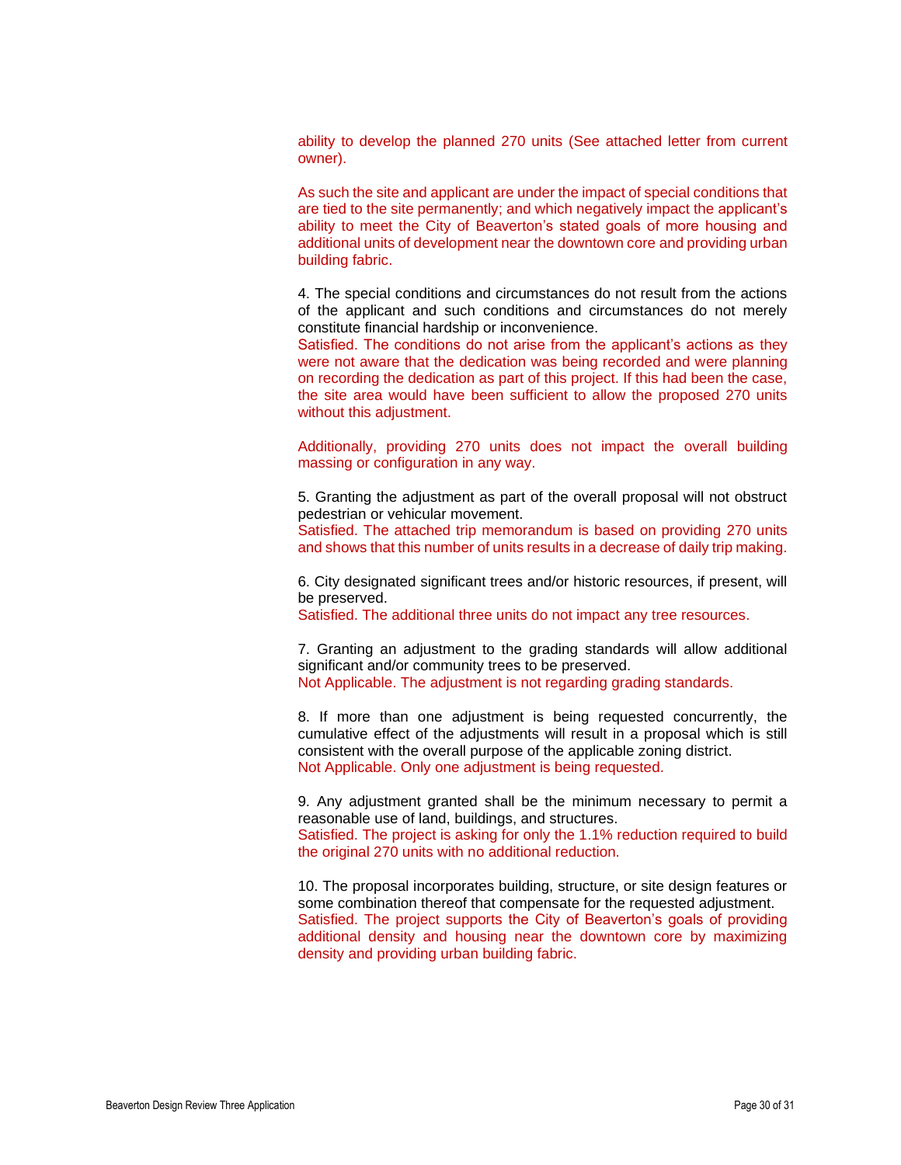ability to develop the planned 270 units (See attached letter from current owner).

As such the site and applicant are under the impact of special conditions that are tied to the site permanently; and which negatively impact the applicant's ability to meet the City of Beaverton's stated goals of more housing and additional units of development near the downtown core and providing urban building fabric.

4. The special conditions and circumstances do not result from the actions of the applicant and such conditions and circumstances do not merely constitute financial hardship or inconvenience.

Satisfied. The conditions do not arise from the applicant's actions as they were not aware that the dedication was being recorded and were planning on recording the dedication as part of this project. If this had been the case, the site area would have been sufficient to allow the proposed 270 units without this adjustment.

Additionally, providing 270 units does not impact the overall building massing or configuration in any way.

5. Granting the adjustment as part of the overall proposal will not obstruct pedestrian or vehicular movement.

Satisfied. The attached trip memorandum is based on providing 270 units and shows that this number of units results in a decrease of daily trip making.

6. City designated significant trees and/or historic resources, if present, will be preserved.

Satisfied. The additional three units do not impact any tree resources.

7. Granting an adjustment to the grading standards will allow additional significant and/or community trees to be preserved. Not Applicable. The adjustment is not regarding grading standards.

8. If more than one adjustment is being requested concurrently, the cumulative effect of the adjustments will result in a proposal which is still consistent with the overall purpose of the applicable zoning district. Not Applicable. Only one adjustment is being requested.

9. Any adjustment granted shall be the minimum necessary to permit a reasonable use of land, buildings, and structures.

Satisfied. The project is asking for only the 1.1% reduction required to build the original 270 units with no additional reduction.

10. The proposal incorporates building, structure, or site design features or some combination thereof that compensate for the requested adjustment. Satisfied. The project supports the City of Beaverton's goals of providing additional density and housing near the downtown core by maximizing density and providing urban building fabric.